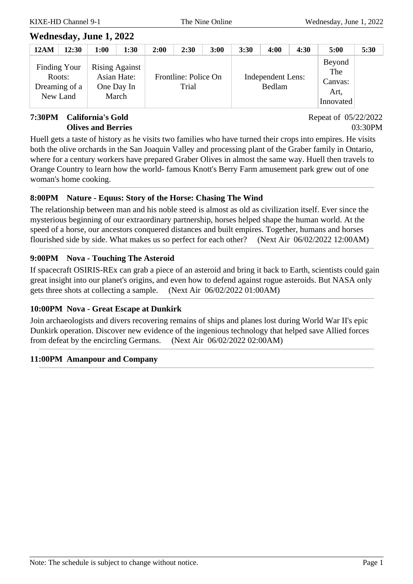#### **7:30PM California's Gold Olives and Berries**

Repeat of 05/22/2022 03:30PM

Huell gets a taste of history as he visits two families who have turned their crops into empires. He visits both the olive orchards in the San Joaquin Valley and processing plant of the Graber family in Ontario, where for a century workers have prepared Graber Olives in almost the same way. Huell then travels to Orange Country to learn how the world- famous Knott's Berry Farm amusement park grew out of one woman's home cooking.

### **8:00PM Nature - Equus: Story of the Horse: Chasing The Wind**

The relationship between man and his noble steed is almost as old as civilization itself. Ever since the mysterious beginning of our extraordinary partnership, horses helped shape the human world. At the speed of a horse, our ancestors conquered distances and built empires. Together, humans and horses flourished side by side. What makes us so perfect for each other? (Next Air 06/02/2022 12:00AM)

#### **9:00PM Nova - Touching The Asteroid**

If spacecraft OSIRIS-REx can grab a piece of an asteroid and bring it back to Earth, scientists could gain great insight into our planet's origins, and even how to defend against rogue asteroids. But NASA only gets three shots at collecting a sample. (Next Air 06/02/2022 01:00AM)

### **10:00PM Nova - Great Escape at Dunkirk**

Join archaeologists and divers recovering remains of ships and planes lost during World War II's epic Dunkirk operation. Discover new evidence of the ingenious technology that helped save Allied forces from defeat by the encircling Germans. (Next Air 06/02/2022 02:00AM)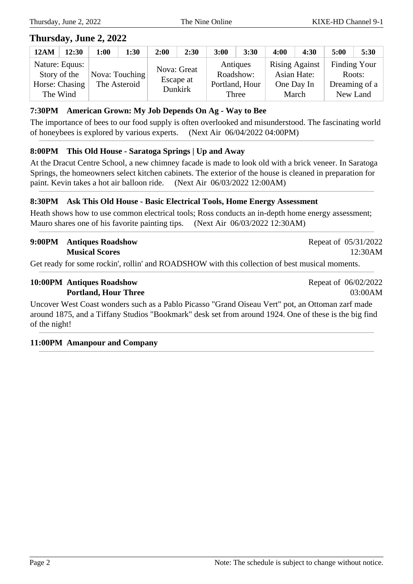### **Thursday, June 2, 2022**

| <b>12AM</b> | 12:30                                                        | 1:00 | 1:30                           | 2:00 | 2:30                                | 3:00 | 3:30                                             | 4:00                                         | 4:30        | 5:00                                                       | 5:30 |
|-------------|--------------------------------------------------------------|------|--------------------------------|------|-------------------------------------|------|--------------------------------------------------|----------------------------------------------|-------------|------------------------------------------------------------|------|
|             | Nature: Equus:<br>Story of the<br>Horse: Chasing<br>The Wind |      | Nova: Touching<br>The Asteroid |      | Nova: Great<br>Escape at<br>Dunkirk |      | Antiques<br>Roadshow:<br>Portland, Hour<br>Three | <b>Rising Against</b><br>One Day In<br>March | Asian Hate: | <b>Finding Your</b><br>Roots:<br>Dreaming of a<br>New Land |      |

#### **7:30PM American Grown: My Job Depends On Ag - Way to Bee**

The importance of bees to our food supply is often overlooked and misunderstood. The fascinating world of honeybees is explored by various experts. (Next Air 06/04/2022 04:00PM)

#### **8:00PM This Old House - Saratoga Springs | Up and Away**

At the Dracut Centre School, a new chimney facade is made to look old with a brick veneer. In Saratoga Springs, the homeowners select kitchen cabinets. The exterior of the house is cleaned in preparation for paint. Kevin takes a hot air balloon ride. (Next Air 06/03/2022 12:00AM)

#### **8:30PM Ask This Old House - Basic Electrical Tools, Home Energy Assessment**

Heath shows how to use common electrical tools; Ross conducts an in-depth home energy assessment; Mauro shares one of his favorite painting tips. (Next Air 06/03/2022 12:30AM)

#### **9:00PM Antiques Roadshow Musical Scores**

Get ready for some rockin', rollin' and ROADSHOW with this collection of best musical moments.

#### **10:00PM Antiques Roadshow Portland, Hour Three**

Repeat of 06/02/2022 03:00AM

Repeat of 05/31/2022

12:30AM

Uncover West Coast wonders such as a Pablo Picasso "Grand Oiseau Vert" pot, an Ottoman zarf made around 1875, and a Tiffany Studios "Bookmark" desk set from around 1924. One of these is the big find of the night!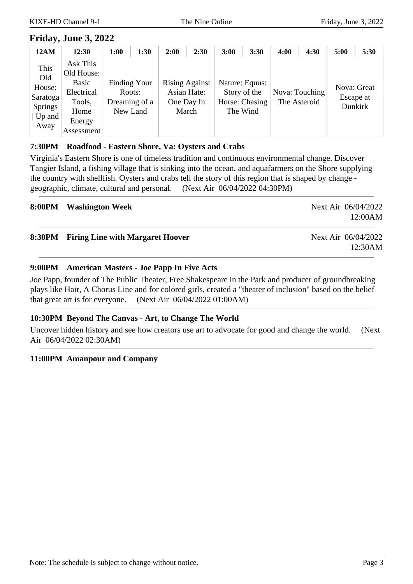### **Friday, June 3, 2022**

| 12AM                                                                       | 12:30                                                                                   | 1:00         | 1:30                                | 2:00 | 2:30                                                        | 3:00     | 3:30                                             | 4:00 | 4:30                           | 5:00                     | 5:30    |
|----------------------------------------------------------------------------|-----------------------------------------------------------------------------------------|--------------|-------------------------------------|------|-------------------------------------------------------------|----------|--------------------------------------------------|------|--------------------------------|--------------------------|---------|
| This<br>Old<br>House:<br>Saratoga<br>Springs<br>$ Up \text{ and }$<br>Away | Ask This<br>Old House:<br>Basic<br>Electrical<br>Tools,<br>Home<br>Energy<br>Assessment | Finding Your | Roots:<br>Dreaming of a<br>New Land |      | <b>Rising Against</b><br>Asian Hate:<br>One Day In<br>March | The Wind | Nature: Equus:<br>Story of the<br>Horse: Chasing |      | Nova: Touching<br>The Asteroid | Nova: Great<br>Escape at | Dunkirk |

#### **7:30PM Roadfood - Eastern Shore, Va: Oysters and Crabs**

Virginia's Eastern Shore is one of timeless tradition and continuous environmental change. Discover Tangier Island, a fishing village that is sinking into the ocean, and aquafarmers on the Shore supplying the country with shellfish. Oysters and crabs tell the story of this region that is shaped by change geographic, climate, cultural and personal. (Next Air 06/04/2022 04:30PM)

| 8:00PM Washington Week                  | Next Air 06/04/2022<br>12:00AM |
|-----------------------------------------|--------------------------------|
| 8:30PM Firing Line with Margaret Hoover | Next Air 06/04/2022<br>12:30AM |

#### **9:00PM American Masters - Joe Papp In Five Acts**

Joe Papp, founder of The Public Theater, Free Shakespeare in the Park and producer of groundbreaking plays like Hair, A Chorus Line and for colored girls, created a "theater of inclusion" based on the belief that great art is for everyone. (Next Air 06/04/2022 01:00AM)

#### **10:30PM Beyond The Canvas - Art, to Change The World**

Uncover hidden history and see how creators use art to advocate for good and change the world. (Next Air 06/04/2022 02:30AM)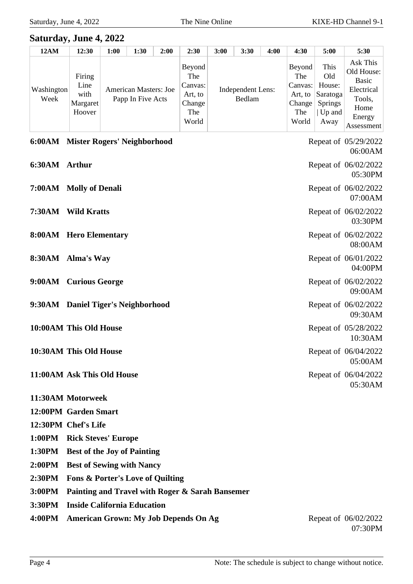#### **Saturday, June 4, 2022 12AM 12:30 1:00 1:30 2:00 2:30 3:00 3:30 4:00 4:30 5:00 5:30** Washington Week Firing Line with Margaret Hoover American Masters: Joe Papp In Five Acts Beyond The Canvas: Art, to Change The World Independent Lens: Bedlam Beyond The Canvas: Art, to Change The World This Old House: Saratoga Springs | Up and Away Ask This Old House: Basic Electrical Tools, Home Energy Assessment

|               | 6:00AM Mister Rogers' Neighborhood | Repeat of 05/29/2022<br>06:00AM |
|---------------|------------------------------------|---------------------------------|
| 6:30AM Arthur |                                    | Repeat of 06/02/2022<br>05:30PM |
|               | 7:00AM Molly of Denali             | Repeat of 06/02/2022<br>07:00AM |
|               | 7:30AM Wild Kratts                 | Repeat of 06/02/2022<br>03:30PM |
|               | 8:00AM Hero Elementary             | Repeat of 06/02/2022<br>08:00AM |
|               | 8:30AM Alma's Way                  | Repeat of 06/01/2022<br>04:00PM |
|               | 9:00AM Curious George              | Repeat of 06/02/2022<br>09:00AM |
|               | 9:30AM Daniel Tiger's Neighborhood | Repeat of 06/02/2022<br>09:30AM |
|               | 10:00AM This Old House             | Repeat of 05/28/2022<br>10:30AM |
|               | 10:30AM This Old House             | Repeat of 06/04/2022<br>05:00AM |
|               | 11:00AM Ask This Old House         | Repeat of 06/04/2022<br>05:30AM |
|               | 11:30AM Motorweek                  |                                 |
|               | 12:00PM Garden Smart               |                                 |
|               | 12:30PM Chef's Life                |                                 |
|               | 1:00PM Rick Steves' Europe         |                                 |
|               | 1:30PM Best of the Joy of Painting |                                 |
|               | $\mathbf{a} \cdot \mathbf{b}$      |                                 |

- **2:00PM Best of Sewing with Nancy 2:30PM Fons & Porter's Love of Quilting**
- **3:00PM Painting and Travel with Roger & Sarah Bansemer**
- **3:30PM Inside California Education**
- **4:00PM American Grown: My Job Depends On Ag** Repeat of 06/02/2022

07:30PM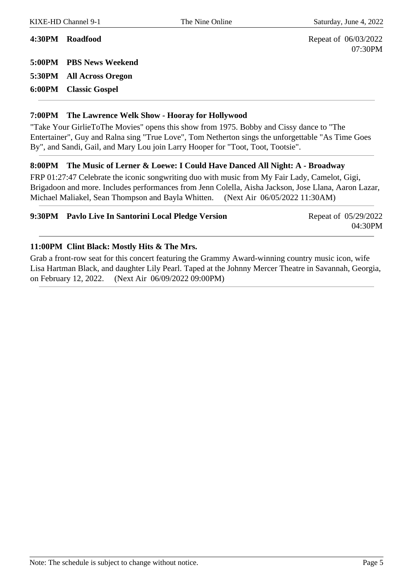07:30PM

**4:30PM Roadfood** Repeat of 06/03/2022 **5:00PM PBS News Weekend**

**5:30PM All Across Oregon**

**6:00PM Classic Gospel**

#### **7:00PM The Lawrence Welk Show - Hooray for Hollywood**

"Take Your GirlieToThe Movies" opens this show from 1975. Bobby and Cissy dance to "The Entertainer", Guy and Ralna sing "True Love", Tom Netherton sings the unforgettable "As Time Goes By", and Sandi, Gail, and Mary Lou join Larry Hooper for "Toot, Toot, Tootsie".

#### **8:00PM The Music of Lerner & Loewe: I Could Have Danced All Night: A - Broadway**

FRP 01:27:47 Celebrate the iconic songwriting duo with music from My Fair Lady, Camelot, Gigi, Brigadoon and more. Includes performances from Jenn Colella, Aisha Jackson, Jose Llana, Aaron Lazar, Michael Maliakel, Sean Thompson and Bayla Whitten. (Next Air 06/05/2022 11:30AM)

| 9:30PM Pavlo Live In Santorini Local Pledge Version | Repeat of 05/29/2022 |
|-----------------------------------------------------|----------------------|
|                                                     | 04:30PM              |

#### **11:00PM Clint Black: Mostly Hits & The Mrs.**

Grab a front-row seat for this concert featuring the Grammy Award-winning country music icon, wife Lisa Hartman Black, and daughter Lily Pearl. Taped at the Johnny Mercer Theatre in Savannah, Georgia, on February 12, 2022. (Next Air 06/09/2022 09:00PM)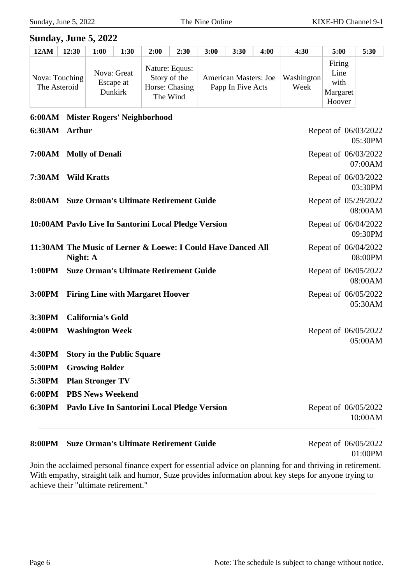05:30PM

07:00AM

03:30PM

08:00AM

09:30PM

08:00PM

08:00AM

05:30AM

05:00AM

#### **Sunday, June 5, 2022**

| <b>12AM</b> | 12:30                          | 1:00 | 1:30                                | 2:00                                                         | 2:30 | 3:00 | 3:30                                              | 4:00 | 4:30               | 5:00                                         | 5:30 |
|-------------|--------------------------------|------|-------------------------------------|--------------------------------------------------------------|------|------|---------------------------------------------------|------|--------------------|----------------------------------------------|------|
|             | Nova: Touching<br>The Asteroid |      | Nova: Great<br>Escape at<br>Dunkirk | Nature: Equus:<br>Story of the<br>Horse: Chasing<br>The Wind |      |      | <b>American Masters: Joe</b><br>Papp In Five Acts |      | Washington<br>Week | Firing<br>Line<br>with<br>Margaret<br>Hoover |      |

# **6:00AM Mister Rogers' Neighborhood 6:30AM Arthur** Repeat of 06/03/2022 **7:00AM Molly of Denali** Repeat of 06/03/2022 **7:30AM Wild Kratts** Repeat of 06/03/2022 **8:00AM** Suze Orman's Ultimate Retirement Guide Repeat of 05/29/2022 **10:00AM** Pavlo Live In Santorini Local Pledge Version Repeat of 06/04/2022 **11:30AM The Music of Lerner & Loewe: I Could Have Danced All Night: A** Repeat of 06/04/2022 **1:00PM** Suze Orman's Ultimate Retirement Guide Repeat of 06/05/2022 **3:00PM** Firing Line with Margaret Hoover Repeat of 06/05/2022 **3:30PM California's Gold 4:00PM Washington Week** Repeat of 06/05/2022 **4:30PM Story in the Public Square 5:00PM Growing Bolder 5:30PM Plan Stronger TV**

**6:00PM PBS News Weekend**

**6:30PM Pavlo Live In Santorini Local Pledge Version** Repeat of 06/05/2022

10:00AM

#### **8:00PM** Suze Orman's Ultimate Retirement Guide Repeat of 06/05/2022

01:00PM

Join the acclaimed personal finance expert for essential advice on planning for and thriving in retirement. With empathy, straight talk and humor, Suze provides information about key steps for anyone trying to achieve their "ultimate retirement."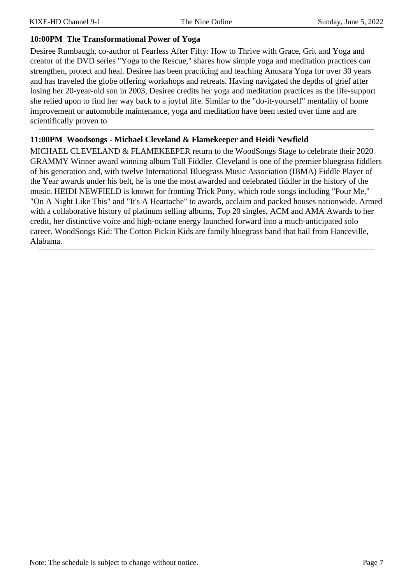#### **10:00PM The Transformational Power of Yoga**

Desiree Rumbaugh, co-author of Fearless After Fifty: How to Thrive with Grace, Grit and Yoga and creator of the DVD series "Yoga to the Rescue," shares how simple yoga and meditation practices can strengthen, protect and heal. Desiree has been practicing and teaching Anusara Yoga for over 30 years and has traveled the globe offering workshops and retreats. Having navigated the depths of grief after losing her 20-year-old son in 2003, Desiree credits her yoga and meditation practices as the life-support she relied upon to find her way back to a joyful life. Similar to the "do-it-yourself" mentality of home improvement or automobile maintenance, yoga and meditation have been tested over time and are scientifically proven to

#### **11:00PM Woodsongs - Michael Cleveland & Flamekeeper and Heidi Newfield**

MICHAEL CLEVELAND & FLAMEKEEPER return to the WoodSongs Stage to celebrate their 2020 GRAMMY Winner award winning album Tall Fiddler. Cleveland is one of the premier bluegrass fiddlers of his generation and, with twelve International Bluegrass Music Association (IBMA) Fiddle Player of the Year awards under his belt, he is one the most awarded and celebrated fiddler in the history of the music. HEIDI NEWFIELD is known for fronting Trick Pony, which rode songs including "Pour Me," "On A Night Like This" and "It's A Heartache" to awards, acclaim and packed houses nationwide. Armed with a collaborative history of platinum selling albums, Top 20 singles, ACM and AMA Awards to her credit, her distinctive voice and high-octane energy launched forward into a much-anticipated solo career. WoodSongs Kid: The Cotton Pickin Kids are family bluegrass band that hail from Hanceville, Alabama.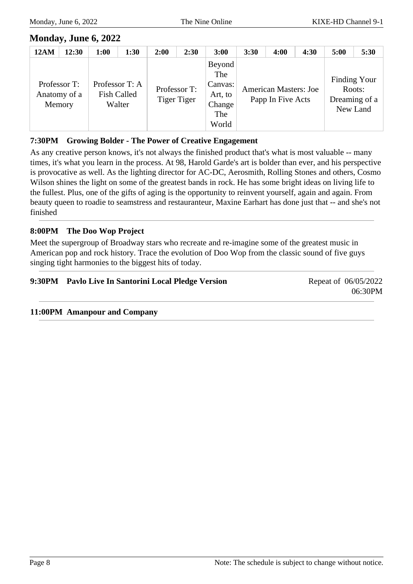### **Monday, June 6, 2022**

| <b>12AM</b> | 12:30                                  | 1:00           | 1:30                         | 2:00 | 2:30                        | 3:00                                                          | 3:30 | 4:00                                              | 4:30 | 5:00               | 5:30                          |
|-------------|----------------------------------------|----------------|------------------------------|------|-----------------------------|---------------------------------------------------------------|------|---------------------------------------------------|------|--------------------|-------------------------------|
|             | Professor T:<br>Anatomy of a<br>Memory | Professor T: A | <b>Fish Called</b><br>Walter |      | Professor T:<br>Tiger Tiger | Beyond<br>The<br>Canvas:<br>Art, to<br>Change<br>The<br>World |      | <b>American Masters: Joe</b><br>Papp In Five Acts |      | Roots:<br>New Land | Finding Your<br>Dreaming of a |

#### **7:30PM Growing Bolder - The Power of Creative Engagement**

As any creative person knows, it's not always the finished product that's what is most valuable -- many times, it's what you learn in the process. At 98, Harold Garde's art is bolder than ever, and his perspective is provocative as well. As the lighting director for AC-DC, Aerosmith, Rolling Stones and others, Cosmo Wilson shines the light on some of the greatest bands in rock. He has some bright ideas on living life to the fullest. Plus, one of the gifts of aging is the opportunity to reinvent yourself, again and again. From beauty queen to roadie to seamstress and restauranteur, Maxine Earhart has done just that -- and she's not finished

#### **8:00PM The Doo Wop Project**

Meet the supergroup of Broadway stars who recreate and re-imagine some of the greatest music in American pop and rock history. Trace the evolution of Doo Wop from the classic sound of five guys singing tight harmonies to the biggest hits of today.

#### **9:30PM Pavlo Live In Santorini Local Pledge Version** Repeat of 06/05/2022

06:30PM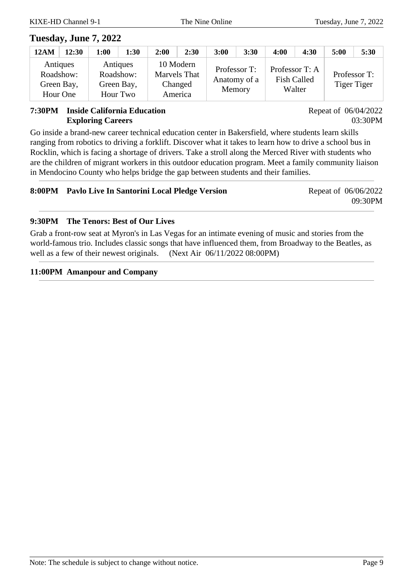### **Tuesday, June 7, 2022**

| 12AM | 12:30                                           | 1:00                              | 1:30       | 2:00                                                   | 2:30 | 3:00                   | 3:30         | 4:00                                 | 4:30   | 5:00                               | 5:30 |
|------|-------------------------------------------------|-----------------------------------|------------|--------------------------------------------------------|------|------------------------|--------------|--------------------------------------|--------|------------------------------------|------|
|      | Antiques<br>Roadshow:<br>Green Bay,<br>Hour One | Antiques<br>Roadshow:<br>Hour Two | Green Bay, | 10 Modern<br><b>Marvels That</b><br>Changed<br>America |      | Professor T:<br>Memory | Anatomy of a | Professor T: A<br><b>Fish Called</b> | Walter | Professor T:<br><b>Tiger Tiger</b> |      |

#### **7:30PM Inside California Education Exploring Careers**

Repeat of 06/04/2022 03:30PM

Go inside a brand-new career technical education center in Bakersfield, where students learn skills ranging from robotics to driving a forklift. Discover what it takes to learn how to drive a school bus in Rocklin, which is facing a shortage of drivers. Take a stroll along the Merced River with students who are the children of migrant workers in this outdoor education program. Meet a family community liaison in Mendocino County who helps bridge the gap between students and their families.

| 8:00PM Pavlo Live In Santorini Local Pledge Version | Repeat of 06/06/2022 |
|-----------------------------------------------------|----------------------|
|                                                     | 09:30PM              |

#### **9:30PM The Tenors: Best of Our Lives**

Grab a front-row seat at Myron's in Las Vegas for an intimate evening of music and stories from the world-famous trio. Includes classic songs that have influenced them, from Broadway to the Beatles, as well as a few of their newest originals. (Next Air  $06/11/2022 08:00PM$ )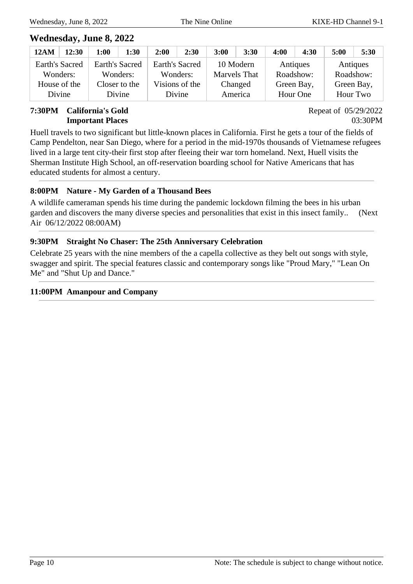### **Wednesday, June 8, 2022**

| 12AM                  | 12:30 | 1:00           | 1:30 | 2:00 | 2:30           | 3:00         | 3:30      | 4:00       | 4:30     | 5:00       | 5:30 |
|-----------------------|-------|----------------|------|------|----------------|--------------|-----------|------------|----------|------------|------|
| <b>Earth's Sacred</b> |       | Earth's Sacred |      |      | Earth's Sacred |              | 10 Modern |            | Antiques | Antiques   |      |
| Wonders:              |       | Wonders:       |      |      | Wonders:       | Marvels That |           | Roadshow:  |          | Roadshow:  |      |
| House of the          |       | Closer to the  |      |      | Visions of the | Changed      |           | Green Bay, |          | Green Bay, |      |
| Divine                |       | Divine         |      |      | Divine         |              | America   |            | Hour One | Hour Two   |      |

#### **7:30PM California's Gold Important Places**

Repeat of 05/29/2022 03:30PM

Huell travels to two significant but little-known places in California. First he gets a tour of the fields of Camp Pendelton, near San Diego, where for a period in the mid-1970s thousands of Vietnamese refugees lived in a large tent city-their first stop after fleeing their war torn homeland. Next, Huell visits the Sherman Institute High School, an off-reservation boarding school for Native Americans that has educated students for almost a century.

### **8:00PM Nature - My Garden of a Thousand Bees**

A wildlife cameraman spends his time during the pandemic lockdown filming the bees in his urban garden and discovers the many diverse species and personalities that exist in this insect family.. (Next Air 06/12/2022 08:00AM)

### **9:30PM Straight No Chaser: The 25th Anniversary Celebration**

Celebrate 25 years with the nine members of the a capella collective as they belt out songs with style, swagger and spirit. The special features classic and contemporary songs like "Proud Mary," "Lean On Me" and "Shut Up and Dance."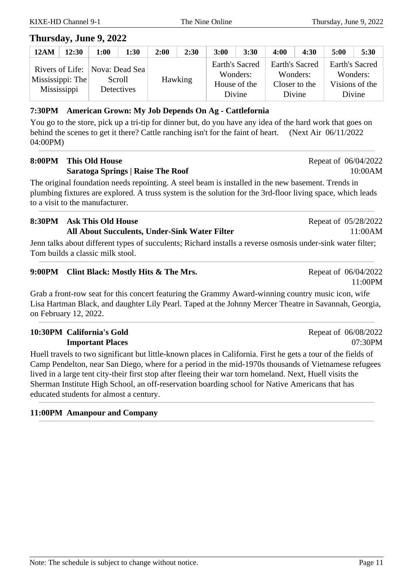### **Thursday, June 9, 2022**

| <b>12AM</b>                     | 12:30 | 1:00       | 1:30                                         | 2:00 | 2:30    | 3:00                                     | 3:30     | 4:00                                                         | 4:30 | 5:00                                                   | 5:30 |
|---------------------------------|-------|------------|----------------------------------------------|------|---------|------------------------------------------|----------|--------------------------------------------------------------|------|--------------------------------------------------------|------|
| Mississippi: The<br>Mississippi |       | Detectives | Rivers of Life:   Nova: Dead Sea  <br>Scroll |      | Hawking | Earth's Sacred<br>House of the<br>Divine | Wonders: | <b>Earth's Sacred</b><br>Wonders:<br>Closer to the<br>Divine |      | Earth's Sacred<br>Wonders:<br>Visions of the<br>Divine |      |

#### **7:30PM American Grown: My Job Depends On Ag - Cattlefornia**

You go to the store, pick up a tri-tip for dinner but, do you have any idea of the hard work that goes on behind the scenes to get it there? Cattle ranching isn't for the faint of heart. (Next Air 06/11/2022 04:00PM)

### **8:00PM This Old House Saratoga Springs | Raise The Roof**

The original foundation needs repointing. A steel beam is installed in the new basement. Trends in plumbing fixtures are explored. A truss system is the solution for the 3rd-floor living space, which leads to a visit to the manufacturer.

### **8:30PM Ask This Old House All About Succulents, Under-Sink Water Filter**

Jenn talks about different types of succulents; Richard installs a reverse osmosis under-sink water filter; Tom builds a classic milk stool.

### **9:00PM Clint Black: Mostly Hits & The Mrs.** Repeat of 06/04/2022

Grab a front-row seat for this concert featuring the Grammy Award-winning country music icon, wife Lisa Hartman Black, and daughter Lily Pearl. Taped at the Johnny Mercer Theatre in Savannah, Georgia, on February 12, 2022.

### **10:30PM California's Gold Important Places**

Huell travels to two significant but little-known places in California. First he gets a tour of the fields of Camp Pendelton, near San Diego, where for a period in the mid-1970s thousands of Vietnamese refugees lived in a large tent city-their first stop after fleeing their war torn homeland. Next, Huell visits the Sherman Institute High School, an off-reservation boarding school for Native Americans that has educated students for almost a century.

### **11:00PM Amanpour and Company**

Repeat of 05/28/2022

Repeat of 06/04/2022

10:00AM

11:00AM

11:00PM

Repeat of 06/08/2022 07:30PM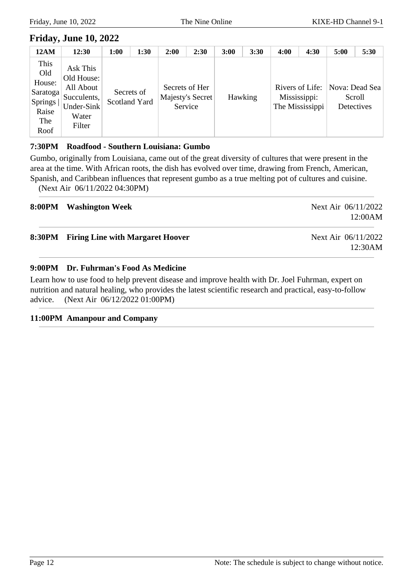### **Friday, June 10, 2022**

| <b>12AM</b>                                                              | 12:30                                                                               | 1:00 | 1:30                        | 2:00    | 2:30                               | 3:00 | 3:30    | 4:00 | 4:30                                               | 5:00                                   | 5:30 |
|--------------------------------------------------------------------------|-------------------------------------------------------------------------------------|------|-----------------------------|---------|------------------------------------|------|---------|------|----------------------------------------------------|----------------------------------------|------|
| This<br>Old<br>House:<br>  Saratoga  <br>Springs<br>Raise<br>The<br>Roof | Ask This<br>Old House:<br>All About<br>Succulents,<br>Under-Sink<br>Water<br>Filter |      | Secrets of<br>Scotland Yard | Service | Secrets of Her<br>Majesty's Secret |      | Hawking |      | Rivers of Life:<br>Mississippi:<br>The Mississippi | Nova: Dead Sea<br>Scroll<br>Detectives |      |

#### **7:30PM Roadfood - Southern Louisiana: Gumbo**

Gumbo, originally from Louisiana, came out of the great diversity of cultures that were present in the area at the time. With African roots, the dish has evolved over time, drawing from French, American, Spanish, and Caribbean influences that represent gumbo as a true melting pot of cultures and cuisine.

(Next Air 06/11/2022 04:30PM)

| 8:00PM Washington Week                  | Next Air 06/11/2022<br>12:00AM |
|-----------------------------------------|--------------------------------|
| 8:30PM Firing Line with Margaret Hoover | Next Air 06/11/2022<br>12:30AM |

#### **9:00PM Dr. Fuhrman's Food As Medicine**

Learn how to use food to help prevent disease and improve health with Dr. Joel Fuhrman, expert on nutrition and natural healing, who provides the latest scientific research and practical, easy-to-follow advice. (Next Air 06/12/2022 01:00PM)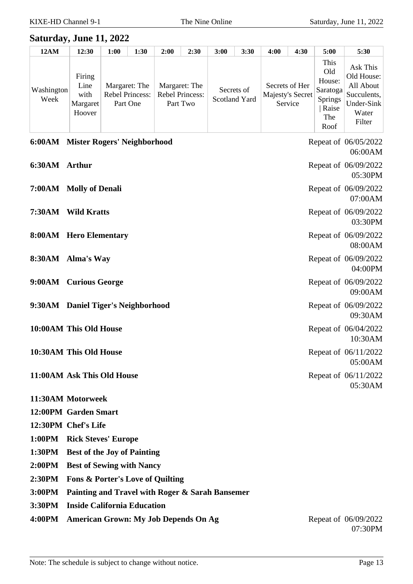#### **Saturday, June 11, 2022**

| <b>12AM</b>        | 12:30                                        | 1:00 | 1:30                                         | 2:00 | 2:30                                                | 3:00 | 3:30                        | 4:00             | 4:30                      | 5:00                                                                 | 5:30                                                                                |
|--------------------|----------------------------------------------|------|----------------------------------------------|------|-----------------------------------------------------|------|-----------------------------|------------------|---------------------------|----------------------------------------------------------------------|-------------------------------------------------------------------------------------|
| Washington<br>Week | Firing<br>Line<br>with<br>Margaret<br>Hoover |      | Margaret: The<br>Rebel Princess:<br>Part One |      | Margaret: The<br><b>Rebel Princess:</b><br>Part Two |      | Secrets of<br>Scotland Yard | Majesty's Secret | Secrets of Her<br>Service | This<br>Old<br>House:<br>Saratoga<br>Springs<br>Raise<br>The<br>Roof | Ask This<br>Old House:<br>All About<br>Succulents,<br>Under-Sink<br>Water<br>Filter |

|               | 6:00AM Mister Rogers' Neighborhood | Repeat of 06/05/2022<br>06:00AM |
|---------------|------------------------------------|---------------------------------|
| 6:30AM Arthur |                                    | Repeat of 06/09/2022<br>05:30PM |
|               | 7:00AM Molly of Denali             | Repeat of 06/09/2022<br>07:00AM |
|               | 7:30AM Wild Kratts                 | Repeat of 06/09/2022<br>03:30PM |
|               | 8:00AM Hero Elementary             | Repeat of 06/09/2022<br>08:00AM |
|               | 8:30AM Alma's Way                  | Repeat of 06/09/2022<br>04:00PM |
|               | 9:00AM Curious George              | Repeat of 06/09/2022<br>09:00AM |
|               | 9:30AM Daniel Tiger's Neighborhood | Repeat of 06/09/2022<br>09:30AM |
|               | 10:00AM This Old House             | Repeat of 06/04/2022<br>10:30AM |
|               | 10:30AM This Old House             | Repeat of 06/11/2022<br>05:00AM |
|               | 11:00AM Ask This Old House         | Repeat of 06/11/2022<br>05:30AM |
|               | 11:30AM Motorweek                  |                                 |
|               | 12:00PM Garden Smart               |                                 |

**12:30PM Chef's Life**

- **1:00PM Rick Steves' Europe**
- **1:30PM Best of the Joy of Painting**
- **2:00PM Best of Sewing with Nancy**
- **2:30PM Fons & Porter's Love of Quilting**
- **3:00PM Painting and Travel with Roger & Sarah Bansemer**
- **3:30PM Inside California Education**
- **4:00PM American Grown: My Job Depends On Ag** Repeat of 06/09/2022

07:30PM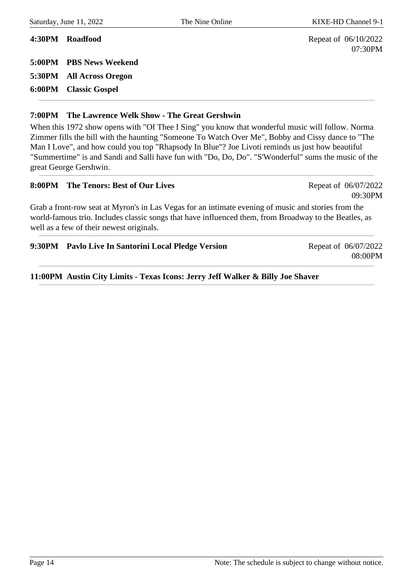07:30PM

09:30PM

**4:30PM Roadfood** Repeat of 06/10/2022 **5:00PM PBS News Weekend 5:30PM All Across Oregon 6:00PM Classic Gospel**

#### **7:00PM The Lawrence Welk Show - The Great Gershwin**

When this 1972 show opens with "Of Thee I Sing" you know that wonderful music will follow. Norma Zimmer fills the bill with the haunting "Someone To Watch Over Me", Bobby and Cissy dance to "The Man I Love", and how could you top "Rhapsody In Blue"? Joe Livoti reminds us just how beautiful "Summertime" is and Sandi and Salli have fun with "Do, Do, Do". "S'Wonderful" sums the music of the great George Gershwin.

#### **8:00PM** The Tenors: Best of Our Lives Repeat of 06/07/2022

Grab a front-row seat at Myron's in Las Vegas for an intimate evening of music and stories from the world-famous trio. Includes classic songs that have influenced them, from Broadway to the Beatles, as well as a few of their newest originals.

#### **9:30PM** Pavlo Live In Santorini Local Pledge Version Repeat of 06/07/2022

08:00PM

**11:00PM Austin City Limits - Texas Icons: Jerry Jeff Walker & Billy Joe Shaver**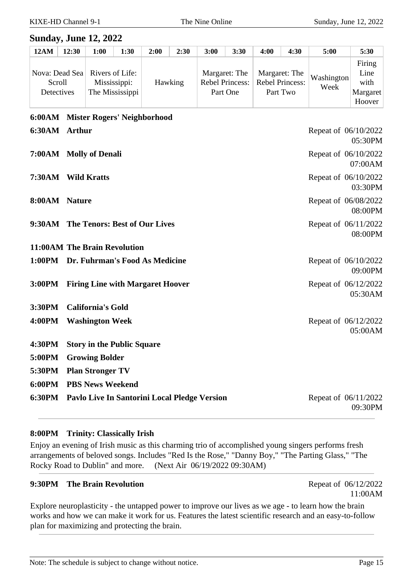#### **Sunday, June 12, 2022**

| <b>12AM</b> | 12:30                                  | 1:00 | 1:30                                               | 2:00 | 2:30           | 3:00 | 3:30                                         | 4:00                                    | 4:30     | 5:00               | 5:30                                         |
|-------------|----------------------------------------|------|----------------------------------------------------|------|----------------|------|----------------------------------------------|-----------------------------------------|----------|--------------------|----------------------------------------------|
|             | Nova: Dead Sea<br>Scroll<br>Detectives |      | Rivers of Life:<br>Mississippi:<br>The Mississippi |      | <b>Hawking</b> |      | Margaret: The<br>Rebel Princess:<br>Part One | Margaret: The<br><b>Rebel Princess:</b> | Part Two | Washington<br>Week | Firing<br>Line<br>with<br>Margaret<br>Hoover |

### **6:00AM Mister Rogers' Neighborhood**

| 6:30AM Arthur |                                                     | Repeat of 06/10/2022<br>05:30PM |
|---------------|-----------------------------------------------------|---------------------------------|
|               | 7:00AM Molly of Denali                              | Repeat of 06/10/2022<br>07:00AM |
|               | 7:30AM Wild Kratts                                  | Repeat of 06/10/2022<br>03:30PM |
| 8:00AM Nature |                                                     | Repeat of 06/08/2022<br>08:00PM |
|               | 9:30AM The Tenors: Best of Our Lives                | Repeat of 06/11/2022<br>08:00PM |
|               | 11:00AM The Brain Revolution                        |                                 |
|               | 1:00PM Dr. Fuhrman's Food As Medicine               | Repeat of 06/10/2022<br>09:00PM |
|               | 3:00PM Firing Line with Margaret Hoover             | Repeat of 06/12/2022<br>05:30AM |
| 3:30PM        | <b>California's Gold</b>                            |                                 |
| <b>4:00PM</b> | <b>Washington Week</b>                              | Repeat of 06/12/2022<br>05:00AM |
| 4:30PM        | <b>Story in the Public Square</b>                   |                                 |
| 5:00PM        | <b>Growing Bolder</b>                               |                                 |
| 5:30PM        | <b>Plan Stronger TV</b>                             |                                 |
|               | 6:00PM PBS News Weekend                             |                                 |
|               | 6:30PM Pavlo Live In Santorini Local Pledge Version | Repeat of 06/11/2022<br>09:30PM |

#### **8:00PM Trinity: Classically Irish**

Enjoy an evening of Irish music as this charming trio of accomplished young singers performs fresh arrangements of beloved songs. Includes "Red Is the Rose," "Danny Boy," "The Parting Glass," "The Rocky Road to Dublin" and more. (Next Air 06/19/2022 09:30AM)

#### **9:30PM** The Brain Revolution Repeat of 06/12/2022

11:00AM

Explore neuroplasticity - the untapped power to improve our lives as we age - to learn how the brain works and how we can make it work for us. Features the latest scientific research and an easy-to-follow plan for maximizing and protecting the brain.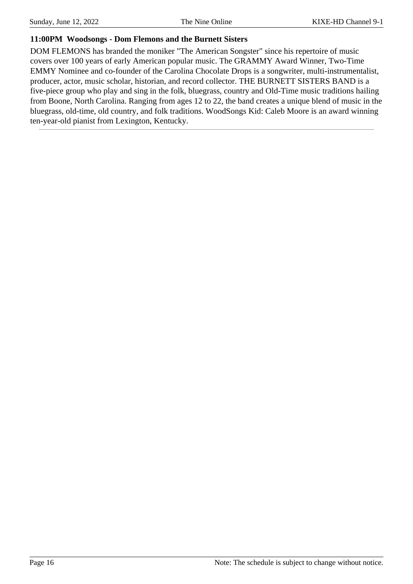#### **11:00PM Woodsongs - Dom Flemons and the Burnett Sisters**

DOM FLEMONS has branded the moniker "The American Songster" since his repertoire of music covers over 100 years of early American popular music. The GRAMMY Award Winner, Two-Time EMMY Nominee and co-founder of the Carolina Chocolate Drops is a songwriter, multi-instrumentalist, producer, actor, music scholar, historian, and record collector. THE BURNETT SISTERS BAND is a five-piece group who play and sing in the folk, bluegrass, country and Old-Time music traditions hailing from Boone, North Carolina. Ranging from ages 12 to 22, the band creates a unique blend of music in the bluegrass, old-time, old country, and folk traditions. WoodSongs Kid: Caleb Moore is an award winning ten-year-old pianist from Lexington, Kentucky.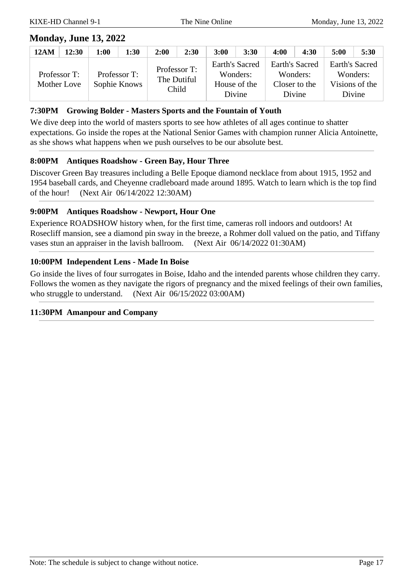### **Monday, June 13, 2022**

| 12AM | 12:30                              | 1:00 | 1:30                         | 2:00        | 2:30                  | 3:00           | 3:30                               | 4:00           | 4:30                                | 5:00                                                   | 5:30 |
|------|------------------------------------|------|------------------------------|-------------|-----------------------|----------------|------------------------------------|----------------|-------------------------------------|--------------------------------------------------------|------|
|      | Professor T:<br><b>Mother Love</b> |      | Professor T:<br>Sophie Knows | The Dutiful | Professor T:<br>Child | Earth's Sacred | Wonders:<br>House of the<br>Divine | Earth's Sacred | Wonders:<br>Closer to the<br>Divine | Earth's Sacred<br>Wonders:<br>Visions of the<br>Divine |      |

#### **7:30PM Growing Bolder - Masters Sports and the Fountain of Youth**

We dive deep into the world of masters sports to see how athletes of all ages continue to shatter expectations. Go inside the ropes at the National Senior Games with champion runner Alicia Antoinette, as she shows what happens when we push ourselves to be our absolute best.

#### **8:00PM Antiques Roadshow - Green Bay, Hour Three**

Discover Green Bay treasures including a Belle Epoque diamond necklace from about 1915, 1952 and 1954 baseball cards, and Cheyenne cradleboard made around 1895. Watch to learn which is the top find of the hour! (Next Air 06/14/2022 12:30AM)

#### **9:00PM Antiques Roadshow - Newport, Hour One**

Experience ROADSHOW history when, for the first time, cameras roll indoors and outdoors! At Rosecliff mansion, see a diamond pin sway in the breeze, a Rohmer doll valued on the patio, and Tiffany vases stun an appraiser in the lavish ballroom. (Next Air 06/14/2022 01:30AM)

#### **10:00PM Independent Lens - Made In Boise**

Go inside the lives of four surrogates in Boise, Idaho and the intended parents whose children they carry. Follows the women as they navigate the rigors of pregnancy and the mixed feelings of their own families, who struggle to understand. (Next Air 06/15/2022 03:00AM)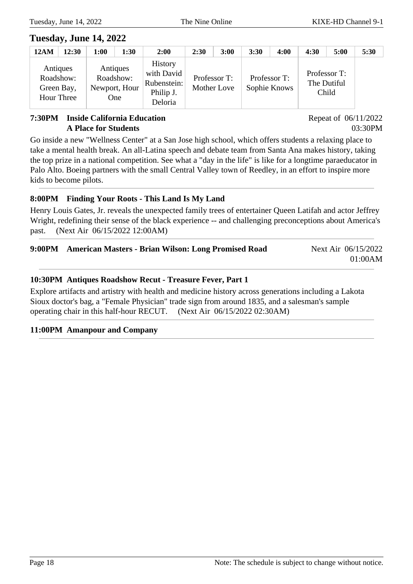### **Tuesday, June 14, 2022**

| <b>12AM</b>                                       | 12:30 | 1:00 | 1:30                                          | 2:00                                                                | 2:30 | 3:00                        | 3:30 | 4:00                         | 4:30                                 | 5:00 | 5:30 |
|---------------------------------------------------|-------|------|-----------------------------------------------|---------------------------------------------------------------------|------|-----------------------------|------|------------------------------|--------------------------------------|------|------|
| Antiques<br>Roadshow:<br>Green Bay,<br>Hour Three |       |      | Antiques<br>Roadshow:<br>Newport, Hour<br>One | <b>History</b><br>with David<br>Rubenstein:<br>Philip J.<br>Deloria |      | Professor T:<br>Mother Love |      | Professor T:<br>Sophie Knows | Professor T:<br>The Dutiful<br>Child |      |      |

#### **7:30PM Inside California Education A Place for Students**

Repeat of 06/11/2022 03:30PM

Go inside a new "Wellness Center" at a San Jose high school, which offers students a relaxing place to take a mental health break. An all-Latina speech and debate team from Santa Ana makes history, taking the top prize in a national competition. See what a "day in the life" is like for a longtime paraeducator in Palo Alto. Boeing partners with the small Central Valley town of Reedley, in an effort to inspire more kids to become pilots.

### **8:00PM Finding Your Roots - This Land Is My Land**

Henry Louis Gates, Jr. reveals the unexpected family trees of entertainer Queen Latifah and actor Jeffrey Wright, redefining their sense of the black experience -- and challenging preconceptions about America's past. (Next Air 06/15/2022 12:00AM)

| 9:00PM American Masters - Brian Wilson: Long Promised Road | Next Air 06/15/2022 |
|------------------------------------------------------------|---------------------|
|                                                            | 01:00AM             |
|                                                            |                     |

#### **10:30PM Antiques Roadshow Recut - Treasure Fever, Part 1**

Explore artifacts and artistry with health and medicine history across generations including a Lakota Sioux doctor's bag, a "Female Physician" trade sign from around 1835, and a salesman's sample operating chair in this half-hour RECUT. (Next Air 06/15/2022 02:30AM)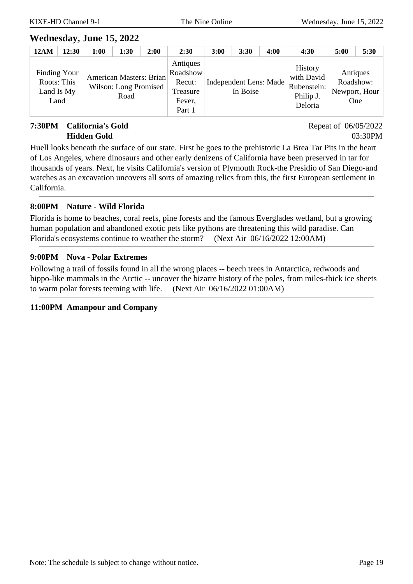### **Wednesday, June 15, 2022**

| <b>12AM</b> | 12:30                                             | 1:00 | 1:30                                                     | 2:00 | 2:30                                                           | 3:00 | 3:30                               | 4:00 | 4:30                                                                | 5:00                                                 | 5:30 |
|-------------|---------------------------------------------------|------|----------------------------------------------------------|------|----------------------------------------------------------------|------|------------------------------------|------|---------------------------------------------------------------------|------------------------------------------------------|------|
|             | Finding Your<br>Roots: This<br>Land Is My<br>Land |      | American Masters: Brian<br>Wilson: Long Promised<br>Road |      | Antiques<br>Roadshow<br>Recut:<br>Treasure<br>Fever,<br>Part 1 |      | Independent Lens: Made<br>In Boise |      | <b>History</b><br>with David<br>Rubenstein:<br>Philip J.<br>Deloria | Antiques<br>Roadshow:<br>Newport, Hour<br><b>One</b> |      |

#### **7:30PM California's Gold Hidden Gold**

Repeat of 06/05/2022 03:30PM

Huell looks beneath the surface of our state. First he goes to the prehistoric La Brea Tar Pits in the heart of Los Angeles, where dinosaurs and other early denizens of California have been preserved in tar for thousands of years. Next, he visits California's version of Plymouth Rock-the Presidio of San Diego-and watches as an excavation uncovers all sorts of amazing relics from this, the first European settlement in California.

#### **8:00PM Nature - Wild Florida**

Florida is home to beaches, coral reefs, pine forests and the famous Everglades wetland, but a growing human population and abandoned exotic pets like pythons are threatening this wild paradise. Can Florida's ecosystems continue to weather the storm? (Next Air 06/16/2022 12:00AM)

#### **9:00PM Nova - Polar Extremes**

Following a trail of fossils found in all the wrong places -- beech trees in Antarctica, redwoods and hippo-like mammals in the Arctic -- uncover the bizarre history of the poles, from miles-thick ice sheets to warm polar forests teeming with life. (Next Air 06/16/2022 01:00AM)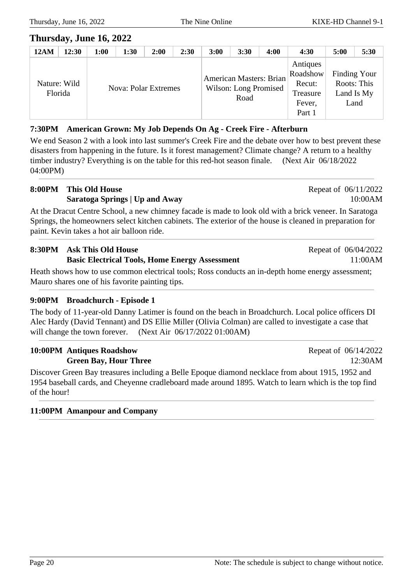### **Thursday, June 16, 2022**

| <b>12AM</b> | 12:30                   | 1:00 | 1:30                        | 2:00 | 2:30 | 3:00 | 3:30                                                     | 4:00 | 4:30                                                           | 5:00                                              | 5:30 |
|-------------|-------------------------|------|-----------------------------|------|------|------|----------------------------------------------------------|------|----------------------------------------------------------------|---------------------------------------------------|------|
|             | Nature: Wild<br>Florida |      | <b>Nova: Polar Extremes</b> |      |      |      | American Masters: Brian<br>Wilson: Long Promised<br>Road |      | Antiques<br>Roadshow<br>Recut:<br>Treasure<br>Fever,<br>Part 1 | Finding Your<br>Roots: This<br>Land Is My<br>Land |      |

### **7:30PM American Grown: My Job Depends On Ag - Creek Fire - Afterburn**

We end Season 2 with a look into last summer's Creek Fire and the debate over how to best prevent these disasters from happening in the future. Is it forest management? Climate change? A return to a healthy timber industry? Everything is on the table for this red-hot season finale. (Next Air 06/18/2022 04:00PM)

#### **8:00PM This Old House Saratoga Springs | Up and Away**

At the Dracut Centre School, a new chimney facade is made to look old with a brick veneer. In Saratoga Springs, the homeowners select kitchen cabinets. The exterior of the house is cleaned in preparation for paint. Kevin takes a hot air balloon ride.

## **8:30PM Ask This Old House**

#### **Basic Electrical Tools, Home Energy Assessment**

Heath shows how to use common electrical tools; Ross conducts an in-depth home energy assessment; Mauro shares one of his favorite painting tips.

#### **9:00PM Broadchurch - Episode 1**

The body of 11-year-old Danny Latimer is found on the beach in Broadchurch. Local police officers DI Alec Hardy (David Tennant) and DS Ellie Miller (Olivia Colman) are called to investigate a case that will change the town forever. (Next Air  $06/17/2022 01:00AM$ )

#### **10:00PM Antiques Roadshow Green Bay, Hour Three**

Discover Green Bay treasures including a Belle Epoque diamond necklace from about 1915, 1952 and 1954 baseball cards, and Cheyenne cradleboard made around 1895. Watch to learn which is the top find of the hour!

### **11:00PM Amanpour and Company**

Repeat of 06/14/2022 12:30AM

Repeat of 06/11/2022

Repeat of 06/04/2022

10:00AM

11:00AM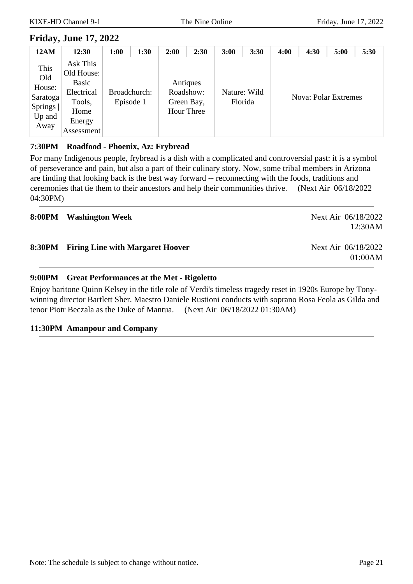### **Friday, June 17, 2022**

| <b>12AM</b>                                                    | 12:30                                                                                   | 1:00 | 1:30                      | 2:00 | 2:30                                              | 3:00    | 3:30         | 4:00 | 4:30 | 5:00                        | 5:30 |
|----------------------------------------------------------------|-----------------------------------------------------------------------------------------|------|---------------------------|------|---------------------------------------------------|---------|--------------|------|------|-----------------------------|------|
| This<br>Old<br>House:<br>Saratoga<br>Springs<br>Up and<br>Away | Ask This<br>Old House:<br>Basic<br>Electrical<br>Tools,<br>Home<br>Energy<br>Assessment |      | Broadchurch:<br>Episode 1 |      | Antiques<br>Roadshow:<br>Green Bay,<br>Hour Three | Florida | Nature: Wild |      |      | <b>Nova: Polar Extremes</b> |      |

#### **7:30PM Roadfood - Phoenix, Az: Frybread**

For many Indigenous people, frybread is a dish with a complicated and controversial past: it is a symbol of perseverance and pain, but also a part of their culinary story. Now, some tribal members in Arizona are finding that looking back is the best way forward -- reconnecting with the foods, traditions and ceremonies that tie them to their ancestors and help their communities thrive. (Next Air 06/18/2022 04:30PM)

| 8:00PM Washington Week                  | Next Air 06/18/2022<br>12:30AM |
|-----------------------------------------|--------------------------------|
| 8:30PM Firing Line with Margaret Hoover | Next Air 06/18/2022<br>01:00AM |

#### **9:00PM Great Performances at the Met - Rigoletto**

Enjoy baritone Quinn Kelsey in the title role of Verdi's timeless tragedy reset in 1920s Europe by Tonywinning director Bartlett Sher. Maestro Daniele Rustioni conducts with soprano Rosa Feola as Gilda and tenor Piotr Beczala as the Duke of Mantua. (Next Air 06/18/2022 01:30AM)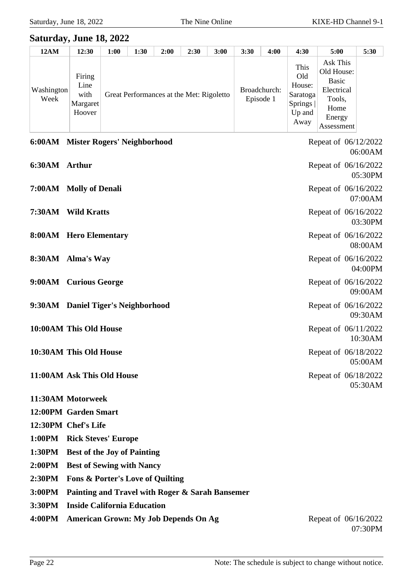### **Saturday, June 18, 2022**

| <b>12AM</b>        | 12:30                                        | 1:00 | 1:30                                     | 2:00 | 2:30 | 3:00 | 3:30 | 4:00                      | 4:30                                                                    | 5:00                                                                                           | 5:30 |
|--------------------|----------------------------------------------|------|------------------------------------------|------|------|------|------|---------------------------|-------------------------------------------------------------------------|------------------------------------------------------------------------------------------------|------|
| Washington<br>Week | Firing<br>Line<br>with<br>Margaret<br>Hoover |      | Great Performances at the Met: Rigoletto |      |      |      |      | Broadchurch:<br>Episode 1 | This<br>Old<br>House:<br>[Saratoga]<br><b>Springs</b><br>Up and<br>Away | Ask This<br>Old House:<br><b>Basic</b><br>Electrical<br>Tools,<br>Home<br>Energy<br>Assessment |      |

|               | 6:00AM Mister Rogers' Neighborhood | Repeat of 06/12/2022<br>06:00AM |
|---------------|------------------------------------|---------------------------------|
| 6:30AM Arthur |                                    | Repeat of 06/16/2022<br>05:30PM |
|               | 7:00AM Molly of Denali             | Repeat of 06/16/2022<br>07:00AM |
|               | 7:30AM Wild Kratts                 | Repeat of 06/16/2022<br>03:30PM |
|               | 8:00AM Hero Elementary             | Repeat of 06/16/2022<br>08:00AM |
|               | 8:30AM Alma's Way                  | Repeat of 06/16/2022<br>04:00PM |
|               | 9:00AM Curious George              | Repeat of 06/16/2022<br>09:00AM |
|               | 9:30AM Daniel Tiger's Neighborhood | Repeat of 06/16/2022<br>09:30AM |
|               | 10:00AM This Old House             | Repeat of 06/11/2022<br>10:30AM |
|               | 10:30AM This Old House             | Repeat of 06/18/2022<br>05:00AM |
|               | 11:00AM Ask This Old House         | Repeat of 06/18/2022<br>05:30AM |
|               | 11:30AM Motorweek                  |                                 |
|               | 12:00PM Garden Smart               |                                 |

- **12:30PM Chef's Life**
- **1:00PM Rick Steves' Europe**
- **1:30PM Best of the Joy of Painting**
- **2:00PM Best of Sewing with Nancy**
- **2:30PM Fons & Porter's Love of Quilting**
- **3:00PM Painting and Travel with Roger & Sarah Bansemer**
- **3:30PM Inside California Education**
- **4:00PM American Grown: My Job Depends On Ag** Repeat of 06/16/2022

07:30PM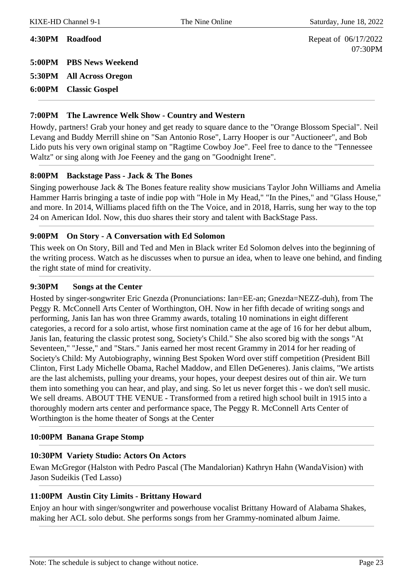07:30PM

**4:30PM Roadfood** Repeat of 06/17/2022

**5:00PM PBS News Weekend 5:30PM All Across Oregon**

**6:00PM Classic Gospel**

#### **7:00PM The Lawrence Welk Show - Country and Western**

Howdy, partners! Grab your honey and get ready to square dance to the "Orange Blossom Special". Neil Levang and Buddy Merrill shine on "San Antonio Rose", Larry Hooper is our "Auctioneer", and Bob Lido puts his very own original stamp on "Ragtime Cowboy Joe". Feel free to dance to the "Tennessee Waltz" or sing along with Joe Feeney and the gang on "Goodnight Irene".

#### **8:00PM Backstage Pass - Jack & The Bones**

Singing powerhouse Jack & The Bones feature reality show musicians Taylor John Williams and Amelia Hammer Harris bringing a taste of indie pop with "Hole in My Head," "In the Pines," and "Glass House," and more. In 2014, Williams placed fifth on the The Voice, and in 2018, Harris, sung her way to the top 24 on American Idol. Now, this duo shares their story and talent with BackStage Pass.

#### **9:00PM On Story - A Conversation with Ed Solomon**

This week on On Story, Bill and Ted and Men in Black writer Ed Solomon delves into the beginning of the writing process. Watch as he discusses when to pursue an idea, when to leave one behind, and finding the right state of mind for creativity.

#### **9:30PM Songs at the Center**

Hosted by singer-songwriter Eric Gnezda (Pronunciations: Ian=EE-an; Gnezda=NEZZ-duh), from The Peggy R. McConnell Arts Center of Worthington, OH. Now in her fifth decade of writing songs and performing, Janis Ian has won three Grammy awards, totaling 10 nominations in eight different categories, a record for a solo artist, whose first nomination came at the age of 16 for her debut album, Janis Ian, featuring the classic protest song, Society's Child." She also scored big with the songs "At Seventeen," "Jesse," and "Stars." Janis earned her most recent Grammy in 2014 for her reading of Society's Child: My Autobiography, winning Best Spoken Word over stiff competition (President Bill Clinton, First Lady Michelle Obama, Rachel Maddow, and Ellen DeGeneres). Janis claims, "We artists are the last alchemists, pulling your dreams, your hopes, your deepest desires out of thin air. We turn them into something you can hear, and play, and sing. So let us never forget this - we don't sell music. We sell dreams. ABOUT THE VENUE - Transformed from a retired high school built in 1915 into a thoroughly modern arts center and performance space, The Peggy R. McConnell Arts Center of Worthington is the home theater of Songs at the Center

#### **10:00PM Banana Grape Stomp**

#### **10:30PM Variety Studio: Actors On Actors**

Ewan McGregor (Halston with Pedro Pascal (The Mandalorian) Kathryn Hahn (WandaVision) with Jason Sudeikis (Ted Lasso)

#### **11:00PM Austin City Limits - Brittany Howard**

Enjoy an hour with singer/songwriter and powerhouse vocalist Brittany Howard of Alabama Shakes, making her ACL solo debut. She performs songs from her Grammy-nominated album Jaime.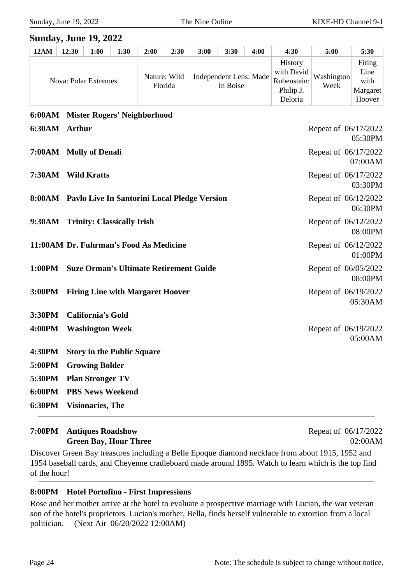#### **Sunday, June 19, 2022**

| <b>12AM</b> | 12:30 | 1:00                        | 1:30 | 2:00         | 2:30    | 3:00 | 3:30                               | 4:00 | 4:30                                                         | 5:00               | 5:30                                         |
|-------------|-------|-----------------------------|------|--------------|---------|------|------------------------------------|------|--------------------------------------------------------------|--------------------|----------------------------------------------|
|             |       | <b>Nova: Polar Extremes</b> |      | Nature: Wild | Florida |      | Independent Lens: Made<br>In Boise |      | History<br>with David<br>Rubenstein:<br>Philip J.<br>Deloria | Washington<br>Week | Firing<br>Line<br>with<br>Margaret<br>Hoover |

|               | 6:00AM Mister Rogers' Neighborhood                  |                                 |
|---------------|-----------------------------------------------------|---------------------------------|
| 6:30AM Arthur |                                                     | Repeat of 06/17/2022<br>05:30PM |
|               | 7:00AM Molly of Denali                              | Repeat of 06/17/2022<br>07:00AM |
|               | 7:30AM Wild Kratts                                  | Repeat of 06/17/2022<br>03:30PM |
|               | 8:00AM Pavlo Live In Santorini Local Pledge Version | Repeat of 06/12/2022<br>06:30PM |
|               | 9:30AM Trinity: Classically Irish                   | Repeat of 06/12/2022<br>08:00PM |
|               | 11:00AM Dr. Fuhrman's Food As Medicine              | Repeat of 06/12/2022<br>01:00PM |
| 1:00PM        | <b>Suze Orman's Ultimate Retirement Guide</b>       | Repeat of 06/05/2022<br>08:00PM |
|               | 3:00PM Firing Line with Margaret Hoover             | Repeat of 06/19/2022<br>05:30AM |
|               | 3:30PM California's Gold                            |                                 |
| 4:00PM        | <b>Washington Week</b>                              | Repeat of 06/19/2022<br>05:00AM |
| 4:30PM        | <b>Story in the Public Square</b>                   |                                 |
| 5:00PM        | <b>Growing Bolder</b>                               |                                 |
| 5:30PM        | <b>Plan Stronger TV</b>                             |                                 |
| 6:00PM        | <b>PBS News Weekend</b>                             |                                 |
| 6:30PM        | <b>Visionaries</b> , The                            |                                 |

#### **7:00PM Antiques Roadshow Green Bay, Hour Three**

Repeat of 06/17/2022 02:00AM

Discover Green Bay treasures including a Belle Epoque diamond necklace from about 1915, 1952 and 1954 baseball cards, and Cheyenne cradleboard made around 1895. Watch to learn which is the top find of the hour!

#### **8:00PM Hotel Portofino - First Impressions**

Rose and her mother arrive at the hotel to evaluate a prospective marriage with Lucian, the war veteran son of the hotel's proprietors. Lucian's mother, Bella, finds herself vulnerable to extortion from a local politician. (Next Air 06/20/2022 12:00AM)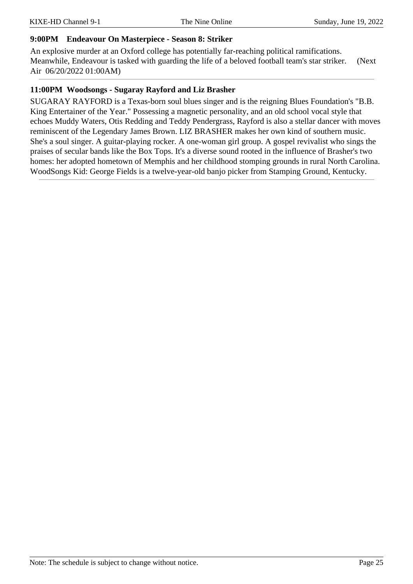#### **9:00PM Endeavour On Masterpiece - Season 8: Striker**

An explosive murder at an Oxford college has potentially far-reaching political ramifications. Meanwhile, Endeavour is tasked with guarding the life of a beloved football team's star striker. (Next Air 06/20/2022 01:00AM)

#### **11:00PM Woodsongs - Sugaray Rayford and Liz Brasher**

SUGARAY RAYFORD is a Texas-born soul blues singer and is the reigning Blues Foundation's "B.B. King Entertainer of the Year." Possessing a magnetic personality, and an old school vocal style that echoes Muddy Waters, Otis Redding and Teddy Pendergrass, Rayford is also a stellar dancer with moves reminiscent of the Legendary James Brown. LIZ BRASHER makes her own kind of southern music. She's a soul singer. A guitar-playing rocker. A one-woman girl group. A gospel revivalist who sings the praises of secular bands like the Box Tops. It's a diverse sound rooted in the influence of Brasher's two homes: her adopted hometown of Memphis and her childhood stomping grounds in rural North Carolina. WoodSongs Kid: George Fields is a twelve-year-old banjo picker from Stamping Ground, Kentucky.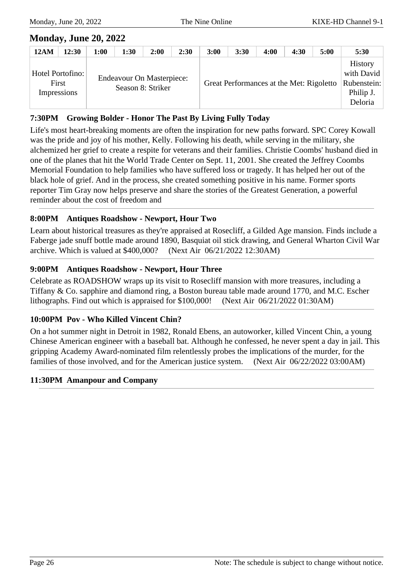### **Monday, June 20, 2022**

| <b>12AM</b>                              | 12:30 | 1:00 | 1:30                                                  | 2:00 | 2:30 | 3:00 | 3:30 | 4:00                                     | 4:30 | 5:00 | 5:30                                                         |
|------------------------------------------|-------|------|-------------------------------------------------------|------|------|------|------|------------------------------------------|------|------|--------------------------------------------------------------|
| Hotel Portofino:<br>First<br>Impressions |       |      | <b>Endeavour On Masterpiece:</b><br>Season 8: Striker |      |      |      |      | Great Performances at the Met: Rigoletto |      |      | History<br>with David<br>Rubenstein:<br>Philip J.<br>Deloria |

#### **7:30PM Growing Bolder - Honor The Past By Living Fully Today**

Life's most heart-breaking moments are often the inspiration for new paths forward. SPC Corey Kowall was the pride and joy of his mother, Kelly. Following his death, while serving in the military, she alchemized her grief to create a respite for veterans and their families. Christie Coombs' husband died in one of the planes that hit the World Trade Center on Sept. 11, 2001. She created the Jeffrey Coombs Memorial Foundation to help families who have suffered loss or tragedy. It has helped her out of the black hole of grief. And in the process, she created something positive in his name. Former sports reporter Tim Gray now helps preserve and share the stories of the Greatest Generation, a powerful reminder about the cost of freedom and

#### **8:00PM Antiques Roadshow - Newport, Hour Two**

Learn about historical treasures as they're appraised at Rosecliff, a Gilded Age mansion. Finds include a Faberge jade snuff bottle made around 1890, Basquiat oil stick drawing, and General Wharton Civil War archive. Which is valued at \$400,000? (Next Air 06/21/2022 12:30AM)

#### **9:00PM Antiques Roadshow - Newport, Hour Three**

Celebrate as ROADSHOW wraps up its visit to Rosecliff mansion with more treasures, including a Tiffany & Co. sapphire and diamond ring, a Boston bureau table made around 1770, and M.C. Escher lithographs. Find out which is appraised for \$100,000! (Next Air 06/21/2022 01:30AM)

#### **10:00PM Pov - Who Killed Vincent Chin?**

On a hot summer night in Detroit in 1982, Ronald Ebens, an autoworker, killed Vincent Chin, a young Chinese American engineer with a baseball bat. Although he confessed, he never spent a day in jail. This gripping Academy Award-nominated film relentlessly probes the implications of the murder, for the families of those involved, and for the American justice system. (Next Air 06/22/2022 03:00AM)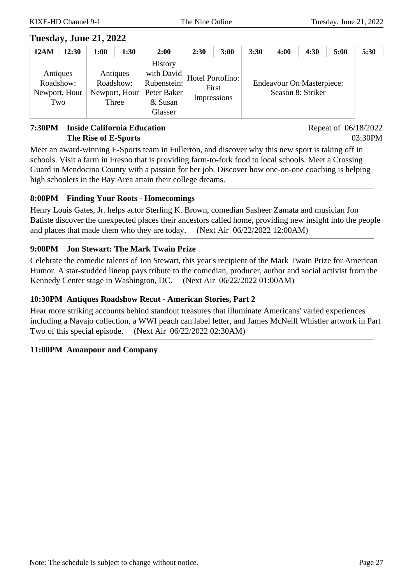### **Tuesday, June 21, 2022**

| <b>12AM</b> | 12:30                            | 1:00 | 1:30                                            | 2:00                                                                                     | 2:30 | 3:00                                     | 3:30 | 4:00 | 4:30                                                  | 5:00 | 5:30 |
|-------------|----------------------------------|------|-------------------------------------------------|------------------------------------------------------------------------------------------|------|------------------------------------------|------|------|-------------------------------------------------------|------|------|
| Roadshow:   | Antiques<br>Newport, Hour<br>Two |      | Antiques<br>Roadshow:<br>Newport, Hour<br>Three | <b>History</b><br>with David $\vert$<br>Rubenstein:<br>Peter Baker<br>& Susan<br>Glasser |      | Hotel Portofino:<br>First<br>Impressions |      |      | <b>Endeavour On Masterpiece:</b><br>Season 8: Striker |      |      |

#### **7:30PM Inside California Education The Rise of E-Sports**

Repeat of 06/18/2022 03:30PM

Meet an award-winning E-Sports team in Fullerton, and discover why this new sport is taking off in schools. Visit a farm in Fresno that is providing farm-to-fork food to local schools. Meet a Crossing Guard in Mendocino County with a passion for her job. Discover how one-on-one coaching is helping high schoolers in the Bay Area attain their college dreams.

#### **8:00PM Finding Your Roots - Homecomings**

Henry Louis Gates, Jr. helps actor Sterling K. Brown, comedian Sasheer Zamata and musician Jon Batiste discover the unexpected places their ancestors called home, providing new insight into the people and places that made them who they are today. (Next Air 06/22/2022 12:00AM)

#### **9:00PM Jon Stewart: The Mark Twain Prize**

Celebrate the comedic talents of Jon Stewart, this year's recipient of the Mark Twain Prize for American Humor. A star-studded lineup pays tribute to the comedian, producer, author and social activist from the Kennedy Center stage in Washington, DC. (Next Air 06/22/2022 01:00AM)

#### **10:30PM Antiques Roadshow Recut - American Stories, Part 2**

Hear more striking accounts behind standout treasures that illuminate Americans' varied experiences including a Navajo collection, a WWI peach can label letter, and James McNeill Whistler artwork in Part Two of this special episode. (Next Air 06/22/2022 02:30AM)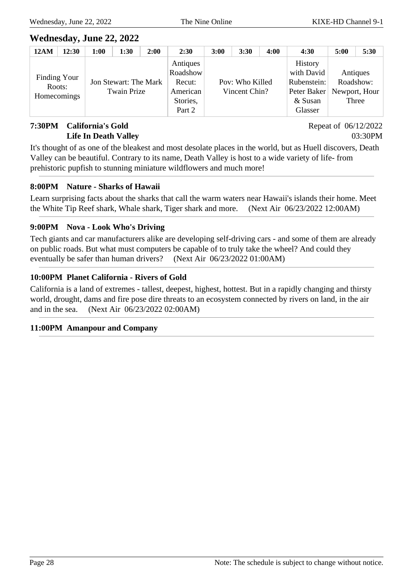### **Wednesday, June 22, 2022**

| <b>12AM</b>                           | 12:30 | 1:00 | 1:30                                        | 2:00 | 2:30                                                             | 3:00 | 3:30                             | 4:00 | 4:30                                                                                             | 5:00                           | 5:30 |
|---------------------------------------|-------|------|---------------------------------------------|------|------------------------------------------------------------------|------|----------------------------------|------|--------------------------------------------------------------------------------------------------|--------------------------------|------|
| Finding Your<br>Roots:<br>Homecomings |       |      | Jon Stewart: The Mark<br><b>Twain Prize</b> |      | Antiques<br>Roadshow<br>Recut:<br>American<br>Stories,<br>Part 2 |      | Pov: Who Killed<br>Vincent Chin? |      | <b>History</b><br>with David<br>Rubenstein:<br>Peter Baker   Newport, Hour<br>& Susan<br>Glasser | Antiques<br>Roadshow:<br>Three |      |

#### **7:30PM California's Gold Life In Death Valley**

Repeat of 06/12/2022 03:30PM

It's thought of as one of the bleakest and most desolate places in the world, but as Huell discovers, Death Valley can be beautiful. Contrary to its name, Death Valley is host to a wide variety of life- from prehistoric pupfish to stunning miniature wildflowers and much more!

#### **8:00PM Nature - Sharks of Hawaii**

Learn surprising facts about the sharks that call the warm waters near Hawaii's islands their home. Meet the White Tip Reef shark, Whale shark, Tiger shark and more. (Next Air 06/23/2022 12:00AM)

#### **9:00PM Nova - Look Who's Driving**

Tech giants and car manufacturers alike are developing self-driving cars - and some of them are already on public roads. But what must computers be capable of to truly take the wheel? And could they eventually be safer than human drivers? (Next Air 06/23/2022 01:00AM)

#### **10:00PM Planet California - Rivers of Gold**

California is a land of extremes - tallest, deepest, highest, hottest. But in a rapidly changing and thirsty world, drought, dams and fire pose dire threats to an ecosystem connected by rivers on land, in the air and in the sea. (Next Air 06/23/2022 02:00AM)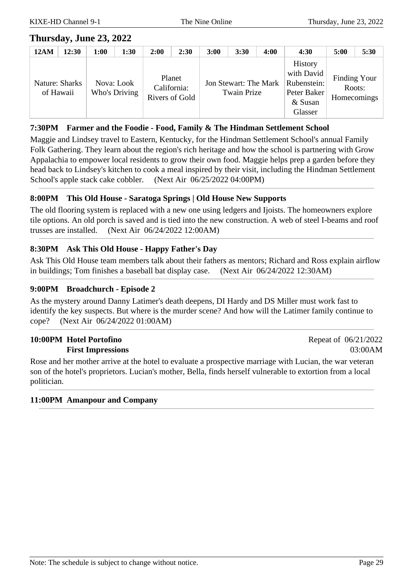### **Thursday, June 23, 2022**

| <b>12AM</b> | 12:30                       | 1:00 | 1:30                        | 2:00 | 2:30                                    | 3:00 | 3:30                                 | 4:00 | 4:30                                                                      | 5:00                                         | 5:30 |
|-------------|-----------------------------|------|-----------------------------|------|-----------------------------------------|------|--------------------------------------|------|---------------------------------------------------------------------------|----------------------------------------------|------|
|             | Nature: Sharks<br>of Hawaii |      | Nova: Look<br>Who's Driving |      | Planet<br>California:<br>Rivers of Gold |      | Jon Stewart: The Mark<br>Twain Prize |      | History<br>with David<br>Rubenstein:<br>Peter Baker<br>& Susan<br>Glasser | <b>Finding Your</b><br>Roots:<br>Homecomings |      |

#### **7:30PM Farmer and the Foodie - Food, Family & The Hindman Settlement School**

Maggie and Lindsey travel to Eastern, Kentucky, for the Hindman Settlement School's annual Family Folk Gathering. They learn about the region's rich heritage and how the school is partnering with Grow Appalachia to empower local residents to grow their own food. Maggie helps prep a garden before they head back to Lindsey's kitchen to cook a meal inspired by their visit, including the Hindman Settlement School's apple stack cake cobbler. (Next Air 06/25/2022 04:00PM)

#### **8:00PM This Old House - Saratoga Springs | Old House New Supports**

The old flooring system is replaced with a new one using ledgers and Ijoists. The homeowners explore tile options. An old porch is saved and is tied into the new construction. A web of steel I-beams and roof trusses are installed. (Next Air 06/24/2022 12:00AM)

#### **8:30PM Ask This Old House - Happy Father's Day**

Ask This Old House team members talk about their fathers as mentors; Richard and Ross explain airflow in buildings; Tom finishes a baseball bat display case. (Next Air 06/24/2022 12:30AM)

#### **9:00PM Broadchurch - Episode 2**

As the mystery around Danny Latimer's death deepens, DI Hardy and DS Miller must work fast to identify the key suspects. But where is the murder scene? And how will the Latimer family continue to cope? (Next Air 06/24/2022 01:00AM)

#### **10:00PM Hotel Portofino First Impressions**

Rose and her mother arrive at the hotel to evaluate a prospective marriage with Lucian, the war veteran son of the hotel's proprietors. Lucian's mother, Bella, finds herself vulnerable to extortion from a local politician.

#### **11:00PM Amanpour and Company**

Repeat of 06/21/2022 03:00AM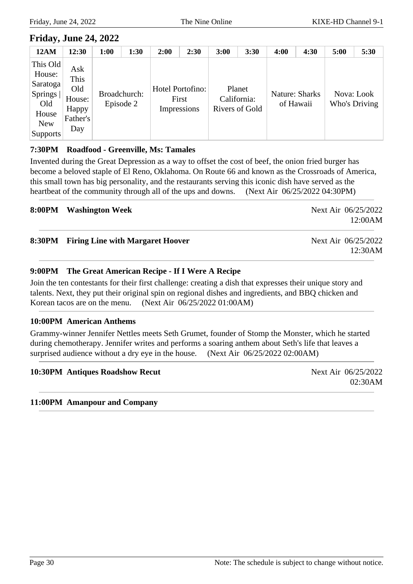### **Friday, June 24, 2022**

| <b>12AM</b>                                                                                | 12:30                                                    | 1:00 | 1:30                      | 2:00 | 2:30                                     | 3:00 | 3:30                                    | 4:00 | 4:30                        | 5:00                        | 5:30 |
|--------------------------------------------------------------------------------------------|----------------------------------------------------------|------|---------------------------|------|------------------------------------------|------|-----------------------------------------|------|-----------------------------|-----------------------------|------|
| This Old<br>House:<br>Saratoga<br>Springs<br>Old<br>House<br><b>New</b><br><b>Supports</b> | Ask<br>This<br>Old<br>House:<br>Happy<br>Father's<br>Day |      | Broadchurch:<br>Episode 2 |      | Hotel Portofino:<br>First<br>Impressions |      | Planet<br>California:<br>Rivers of Gold |      | Nature: Sharks<br>of Hawaii | Nova: Look<br>Who's Driving |      |

#### **7:30PM Roadfood - Greenville, Ms: Tamales**

Invented during the Great Depression as a way to offset the cost of beef, the onion fried burger has become a beloved staple of El Reno, Oklahoma. On Route 66 and known as the Crossroads of America, this small town has big personality, and the restaurants serving this iconic dish have served as the heartbeat of the community through all of the ups and downs. (Next Air 06/25/2022 04:30PM)

#### **8:00PM Washington Week** Next Air 06/25/2022

12:00AM

#### **8:30PM Firing Line with Margaret Hoover** Next Air 06/25/2022

12:30AM

#### **9:00PM The Great American Recipe - If I Were A Recipe**

Join the ten contestants for their first challenge: creating a dish that expresses their unique story and talents. Next, they put their original spin on regional dishes and ingredients, and BBQ chicken and Korean tacos are on the menu. (Next Air 06/25/2022 01:00AM)

#### **10:00PM American Anthems**

Grammy-winner Jennifer Nettles meets Seth Grumet, founder of Stomp the Monster, which he started during chemotherapy. Jennifer writes and performs a soaring anthem about Seth's life that leaves a surprised audience without a dry eye in the house. (Next Air 06/25/2022 02:00AM)

#### **10:30PM** Antiques Roadshow Recut Next Air 06/25/2022

02:30AM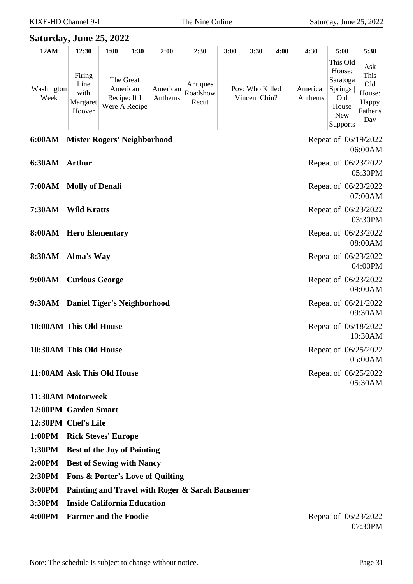### **Saturday, June 25, 2022**

| 12AM               | 12:30                                        | 1:00         | 1:30                                   | 2:00                | 2:30                          | 3:00 | 3:30                             | 4:00 | 4:30                        | 5:00                                                                            | 5:30                                                     |
|--------------------|----------------------------------------------|--------------|----------------------------------------|---------------------|-------------------------------|------|----------------------------------|------|-----------------------------|---------------------------------------------------------------------------------|----------------------------------------------------------|
| Washington<br>Week | Firing<br>Line<br>with<br>Margaret<br>Hoover | Recipe: If I | The Great<br>American<br>Were A Recipe | American<br>Anthems | Antiques<br>Roadshow<br>Recut |      | Pov: Who Killed<br>Vincent Chin? |      | American Springs<br>Anthems | This Old<br>House:<br>Saratoga<br>Old<br>House<br><b>New</b><br><b>Supports</b> | Ask<br>This<br>Old<br>House:<br>Happy<br>Father's<br>Day |

|               | 6:00AM Mister Rogers' Neighborhood | Repeat of 06/19/2022<br>06:00AM |
|---------------|------------------------------------|---------------------------------|
| 6:30AM Arthur |                                    | Repeat of 06/23/2022<br>05:30PM |
|               | 7:00AM Molly of Denali             | Repeat of 06/23/2022<br>07:00AM |
| <b>7:30AM</b> | <b>Wild Kratts</b>                 | Repeat of 06/23/2022<br>03:30PM |
|               | 8:00AM Hero Elementary             | Repeat of 06/23/2022<br>08:00AM |
|               | 8:30AM Alma's Way                  | Repeat of 06/23/2022<br>04:00PM |
|               | 9:00AM Curious George              | Repeat of 06/23/2022<br>09:00AM |
|               | 9:30AM Daniel Tiger's Neighborhood | Repeat of 06/21/2022<br>09:30AM |
|               | 10:00AM This Old House             | Repeat of 06/18/2022<br>10:30AM |
|               | 10:30AM This Old House             | Repeat of 06/25/2022<br>05:00AM |
|               | 11:00AM Ask This Old House         | Repeat of 06/25/2022<br>05:30AM |
|               | 11:30AM Motorweek                  |                                 |

- **12:00PM Garden Smart**
- **12:30PM Chef's Life**
- **1:00PM Rick Steves' Europe**
- **1:30PM Best of the Joy of Painting**
- **2:00PM Best of Sewing with Nancy**
- **2:30PM Fons & Porter's Love of Quilting**
- **3:00PM Painting and Travel with Roger & Sarah Bansemer**
- **3:30PM Inside California Education**
- **4:00PM** Farmer and the Foodie Repeat of 06/23/2022

07:30PM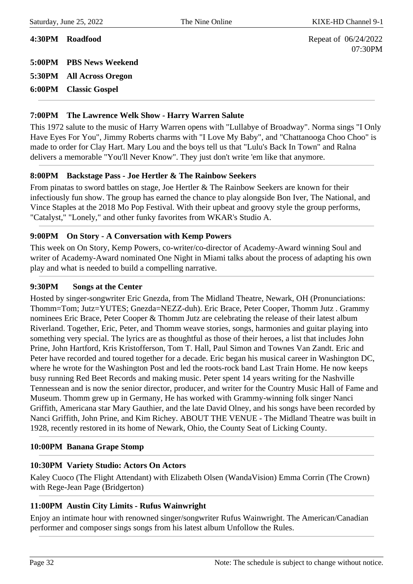**4:30PM Roadfood** Repeat of 06/24/2022 07:30PM

**5:00PM PBS News Weekend 5:30PM All Across Oregon**

**6:00PM Classic Gospel**

#### **7:00PM The Lawrence Welk Show - Harry Warren Salute**

This 1972 salute to the music of Harry Warren opens with "Lullabye of Broadway". Norma sings "I Only Have Eyes For You", Jimmy Roberts charms with "I Love My Baby", and "Chattanooga Choo Choo" is made to order for Clay Hart. Mary Lou and the boys tell us that "Lulu's Back In Town" and Ralna delivers a memorable "You'll Never Know". They just don't write 'em like that anymore.

#### **8:00PM Backstage Pass - Joe Hertler & The Rainbow Seekers**

From pinatas to sword battles on stage, Joe Hertler & The Rainbow Seekers are known for their infectiously fun show. The group has earned the chance to play alongside Bon Iver, The National, and Vince Staples at the 2018 Mo Pop Festival. With their upbeat and groovy style the group performs, "Catalyst," "Lonely," and other funky favorites from WKAR's Studio A.

#### **9:00PM On Story - A Conversation with Kemp Powers**

This week on On Story, Kemp Powers, co-writer/co-director of Academy-Award winning Soul and writer of Academy-Award nominated One Night in Miami talks about the process of adapting his own play and what is needed to build a compelling narrative.

#### **9:30PM Songs at the Center**

Hosted by singer-songwriter Eric Gnezda, from The Midland Theatre, Newark, OH (Pronunciations: Thomm=Tom; Jutz=YUTES; Gnezda=NEZZ-duh). Eric Brace, Peter Cooper, Thomm Jutz . Grammy nominees Eric Brace, Peter Cooper & Thomm Jutz are celebrating the release of their latest album Riverland. Together, Eric, Peter, and Thomm weave stories, songs, harmonies and guitar playing into something very special. The lyrics are as thoughtful as those of their heroes, a list that includes John Prine, John Hartford, Kris Kristofferson, Tom T. Hall, Paul Simon and Townes Van Zandt. Eric and Peter have recorded and toured together for a decade. Eric began his musical career in Washington DC, where he wrote for the Washington Post and led the roots-rock band Last Train Home. He now keeps busy running Red Beet Records and making music. Peter spent 14 years writing for the Nashville Tennessean and is now the senior director, producer, and writer for the Country Music Hall of Fame and Museum. Thomm grew up in Germany, He has worked with Grammy-winning folk singer Nanci Griffith, Americana star Mary Gauthier, and the late David Olney, and his songs have been recorded by Nanci Griffith, John Prine, and Kim Richey. ABOUT THE VENUE - The Midland Theatre was built in 1928, recently restored in its home of Newark, Ohio, the County Seat of Licking County.

#### **10:00PM Banana Grape Stomp**

#### **10:30PM Variety Studio: Actors On Actors**

Kaley Cuoco (The Flight Attendant) with Elizabeth Olsen (WandaVision) Emma Corrin (The Crown) with Rege-Jean Page (Bridgerton)

#### **11:00PM Austin City Limits - Rufus Wainwright**

Enjoy an intimate hour with renowned singer/songwriter Rufus Wainwright. The American/Canadian performer and composer sings songs from his latest album Unfollow the Rules.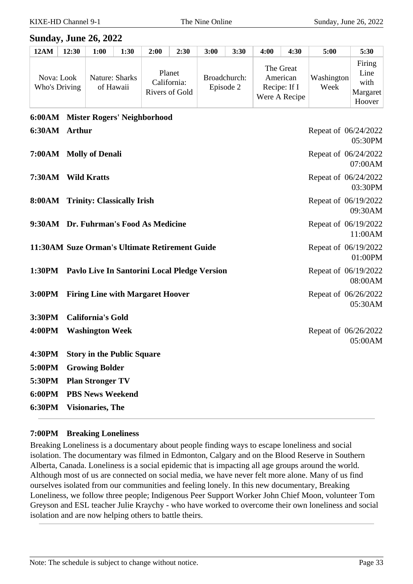#### **Sunday, June 26, 2022**

| <b>12AM</b> | 12:30                       | 1:00 | 1:30                        | 2:00                                    | 2:30 | 3:00                      | 3:30 | 4:00                     | 4:30                       | 5:00               | 5:30                                         |
|-------------|-----------------------------|------|-----------------------------|-----------------------------------------|------|---------------------------|------|--------------------------|----------------------------|--------------------|----------------------------------------------|
|             | Nova: Look<br>Who's Driving |      | Nature: Sharks<br>of Hawaii | Planet<br>California:<br>Rivers of Gold |      | Broadchurch:<br>Episode 2 |      | American<br>Recipe: If I | The Great<br>Were A Recipe | Washington<br>Week | Firing<br>Line<br>with<br>Margaret<br>Hoover |

### **6:00AM Mister Rogers' Neighborhood 6:30AM Arthur** Repeat of 06/24/2022 05:30PM **7:00AM Molly of Denali Repeat of 06/24/2022** Repeat of 06/24/2022 07:00AM **7:30AM Wild Kratts** Repeat of 06/24/2022 03:30PM **8:00AM Trinity: Classically Irish** Repeat of 06/19/2022 09:30AM **9:30AM Dr. Fuhrman's Food As Medicine** Repeat of 06/19/2022 11:00AM **11:30AM Suze Orman's Ultimate Retirement Guide** Repeat of 06/19/2022 01:00PM **1:30PM Pavlo Live In Santorini Local Pledge Version** Repeat of 06/19/2022 08:00AM **3:00PM** Firing Line with Margaret Hoover Repeat of 06/26/2022 05:30AM **3:30PM California's Gold 4:00PM** Washington Week Repeat of 06/26/2022 05:00AM **4:30PM Story in the Public Square 5:00PM Growing Bolder 5:30PM Plan Stronger TV 6:00PM PBS News Weekend 6:30PM Visionaries, The**

#### **7:00PM Breaking Loneliness**

Breaking Loneliness is a documentary about people finding ways to escape loneliness and social isolation. The documentary was filmed in Edmonton, Calgary and on the Blood Reserve in Southern Alberta, Canada. Loneliness is a social epidemic that is impacting all age groups around the world. Although most of us are connected on social media, we have never felt more alone. Many of us find ourselves isolated from our communities and feeling lonely. In this new documentary, Breaking Loneliness, we follow three people; Indigenous Peer Support Worker John Chief Moon, volunteer Tom Greyson and ESL teacher Julie Kraychy - who have worked to overcome their own loneliness and social isolation and are now helping others to battle theirs.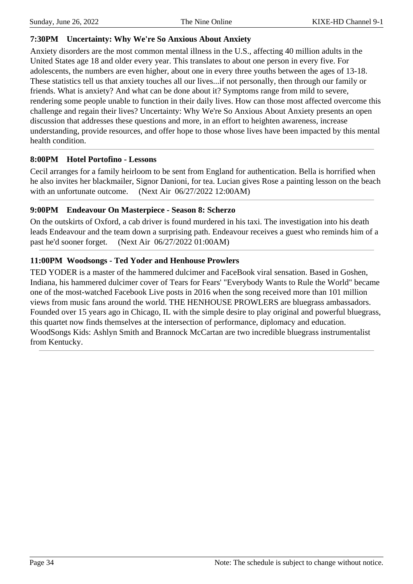#### **7:30PM Uncertainty: Why We're So Anxious About Anxiety**

Anxiety disorders are the most common mental illness in the U.S., affecting 40 million adults in the United States age 18 and older every year. This translates to about one person in every five. For adolescents, the numbers are even higher, about one in every three youths between the ages of 13-18. These statistics tell us that anxiety touches all our lives...if not personally, then through our family or friends. What is anxiety? And what can be done about it? Symptoms range from mild to severe, rendering some people unable to function in their daily lives. How can those most affected overcome this challenge and regain their lives? Uncertainty: Why We're So Anxious About Anxiety presents an open discussion that addresses these questions and more, in an effort to heighten awareness, increase understanding, provide resources, and offer hope to those whose lives have been impacted by this mental health condition.

#### **8:00PM Hotel Portofino - Lessons**

Cecil arranges for a family heirloom to be sent from England for authentication. Bella is horrified when he also invites her blackmailer, Signor Danioni, for tea. Lucian gives Rose a painting lesson on the beach with an unfortunate outcome. (Next Air 06/27/2022 12:00AM)

#### **9:00PM Endeavour On Masterpiece - Season 8: Scherzo**

On the outskirts of Oxford, a cab driver is found murdered in his taxi. The investigation into his death leads Endeavour and the team down a surprising path. Endeavour receives a guest who reminds him of a past he'd sooner forget. (Next Air 06/27/2022 01:00AM)

#### **11:00PM Woodsongs - Ted Yoder and Henhouse Prowlers**

TED YODER is a master of the hammered dulcimer and FaceBook viral sensation. Based in Goshen, Indiana, his hammered dulcimer cover of Tears for Fears' "Everybody Wants to Rule the World" became one of the most-watched Facebook Live posts in 2016 when the song received more than 101 million views from music fans around the world. THE HENHOUSE PROWLERS are bluegrass ambassadors. Founded over 15 years ago in Chicago, IL with the simple desire to play original and powerful bluegrass, this quartet now finds themselves at the intersection of performance, diplomacy and education. WoodSongs Kids: Ashlyn Smith and Brannock McCartan are two incredible bluegrass instrumentalist from Kentucky.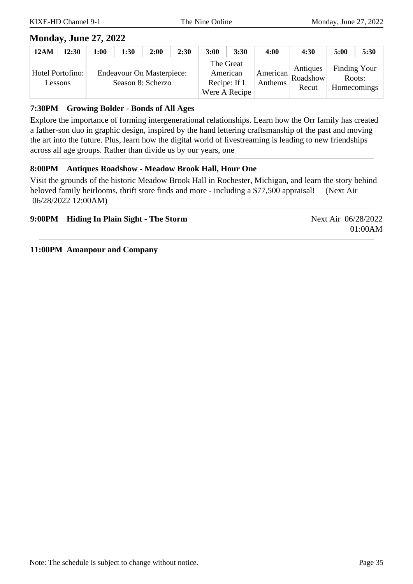### **Monday, June 27, 2022**

| <b>12AM</b> | 12:30                       | 1:00 | 1:30 | 2:00                                                  | 2:30 | 3:00 | 3:30                                                   | 4:00    | 4:30                                                      | 5:00   | 5:30                        |
|-------------|-----------------------------|------|------|-------------------------------------------------------|------|------|--------------------------------------------------------|---------|-----------------------------------------------------------|--------|-----------------------------|
|             | Hotel Portofino:<br>Lessons |      |      | <b>Endeavour On Masterpiece:</b><br>Season 8: Scherzo |      |      | The Great<br>American<br>Recipe: If I<br>Were A Recipe | Anthems | Antiques<br>$\mathbf{A}$   American   Roadshow  <br>Recut | Roots: | Finding Your<br>Homecomings |

#### **7:30PM Growing Bolder - Bonds of All Ages**

Explore the importance of forming intergenerational relationships. Learn how the Orr family has created a father-son duo in graphic design, inspired by the hand lettering craftsmanship of the past and moving the art into the future. Plus, learn how the digital world of livestreaming is leading to new friendships across all age groups. Rather than divide us by our years, one

#### **8:00PM Antiques Roadshow - Meadow Brook Hall, Hour One**

Visit the grounds of the historic Meadow Brook Hall in Rochester, Michigan, and learn the story behind beloved family heirlooms, thrift store finds and more - including a \$77,500 appraisal! (Next Air 06/28/2022 12:00AM)

|  | 9:00PM Hiding In Plain Sight - The Storm |  |  |  |  |
|--|------------------------------------------|--|--|--|--|
|--|------------------------------------------|--|--|--|--|

**Next Air 06/28/2022** 01:00AM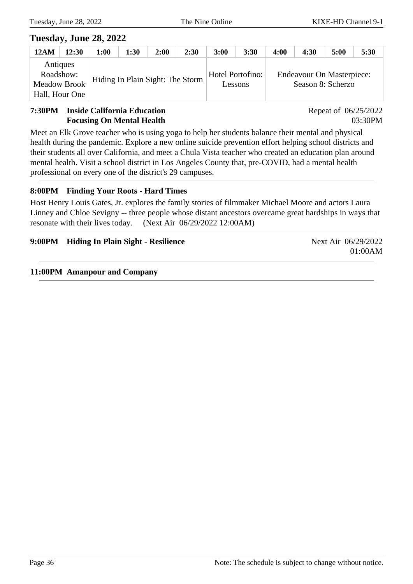### **Tuesday, June 28, 2022**

| <b>12AM</b>           | 12:30 | 1:00                             | 1:30 | 2:00 | 2:30 | 3:00             | 3:30    | 4:00                      | 4:30 | 5:00              | 5:30 |
|-----------------------|-------|----------------------------------|------|------|------|------------------|---------|---------------------------|------|-------------------|------|
| Antiques<br>Roadshow: |       | Hiding In Plain Sight: The Storm |      |      |      | Hotel Portofino: |         | Endeavour On Masterpiece: |      |                   |      |
| <b>Meadow Brook</b>   |       |                                  |      |      |      |                  | Lessons |                           |      | Season 8: Scherzo |      |
| Hall, Hour One        |       |                                  |      |      |      |                  |         |                           |      |                   |      |

#### **7:30PM Inside California Education Focusing On Mental Health**

Repeat of 06/25/2022 03:30PM

Meet an Elk Grove teacher who is using yoga to help her students balance their mental and physical health during the pandemic. Explore a new online suicide prevention effort helping school districts and their students all over California, and meet a Chula Vista teacher who created an education plan around mental health. Visit a school district in Los Angeles County that, pre-COVID, had a mental health professional on every one of the district's 29 campuses.

#### **8:00PM Finding Your Roots - Hard Times**

Host Henry Louis Gates, Jr. explores the family stories of filmmaker Michael Moore and actors Laura Linney and Chloe Sevigny -- three people whose distant ancestors overcame great hardships in ways that resonate with their lives today. (Next Air 06/29/2022 12:00AM)

| 9:00PM Hiding In Plain Sight - Resilience | Next Air 06/29/2022 |
|-------------------------------------------|---------------------|
|                                           | 01:00AM             |
|                                           |                     |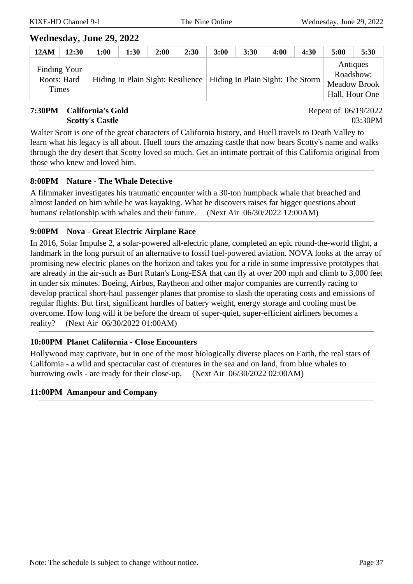### **Wednesday, June 29, 2022**

| 12AM                                        | 12:30 | 1:00 | 1:30 | 2:00 | 2:30 | 3:00 | 3:30 | 4:00 | 4:30                                                                 | 5:00                  | 5:30                           |
|---------------------------------------------|-------|------|------|------|------|------|------|------|----------------------------------------------------------------------|-----------------------|--------------------------------|
| Finding Your<br>Roots: Hard<br><b>Times</b> |       |      |      |      |      |      |      |      | Hiding In Plain Sight: Resilience   Hiding In Plain Sight: The Storm | Antiques<br>Roadshow: | Meadow Brook<br>Hall, Hour One |

#### **7:30PM California's Gold Scotty's Castle**

Repeat of 06/19/2022 03:30PM

Walter Scott is one of the great characters of California history, and Huell travels to Death Valley to learn what his legacy is all about. Huell tours the amazing castle that now bears Scotty's name and walks through the dry desert that Scotty loved so much. Get an intimate portrait of this California original from those who knew and loved him.

#### **8:00PM Nature - The Whale Detective**

A filmmaker investigates his traumatic encounter with a 30-ton humpback whale that breached and almost landed on him while he was kayaking. What he discovers raises far bigger questions about humans' relationship with whales and their future. (Next Air 06/30/2022 12:00AM)

#### **9:00PM Nova - Great Electric Airplane Race**

In 2016, Solar Impulse 2, a solar-powered all-electric plane, completed an epic round-the-world flight, a landmark in the long pursuit of an alternative to fossil fuel-powered aviation. NOVA looks at the array of promising new electric planes on the horizon and takes you for a ride in some impressive prototypes that are already in the air-such as Burt Rutan's Long-ESA that can fly at over 200 mph and climb to 3,000 feet in under six minutes. Boeing, Airbus, Raytheon and other major companies are currently racing to develop practical short-haul passenger planes that promise to slash the operating costs and emissions of regular flights. But first, significant hurdles of battery weight, energy storage and cooling must be overcome. How long will it be before the dream of super-quiet, super-efficient airliners becomes a reality? (Next Air 06/30/2022 01:00AM)

#### **10:00PM Planet California - Close Encounters**

Hollywood may captivate, but in one of the most biologically diverse places on Earth, the real stars of California - a wild and spectacular cast of creatures in the sea and on land, from blue whales to burrowing owls - are ready for their close-up. (Next Air 06/30/2022 02:00AM)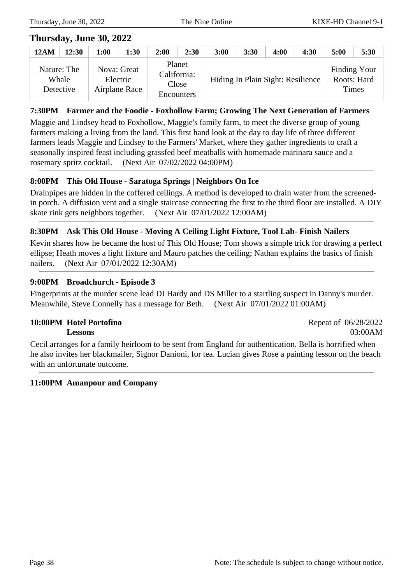Repeat of 06/28/2022

03:00AM

### **Thursday, June 30, 2022**

| <b>12AM</b> | 12:30                             | 00:1 | 1:30                                     | 2:00 | 2:30                                         | 3:00 | 3:30 | 4:00                              | 4:30 | 5:00         | 5:30                        |
|-------------|-----------------------------------|------|------------------------------------------|------|----------------------------------------------|------|------|-----------------------------------|------|--------------|-----------------------------|
|             | Nature: The<br>Whale<br>Detective |      | Nova: Great<br>Electric<br>Airplane Race |      | Planet<br>California:<br>Close<br>Encounters |      |      | Hiding In Plain Sight: Resilience |      | <b>Times</b> | Finding Your<br>Roots: Hard |

#### **7:30PM Farmer and the Foodie - Foxhollow Farm; Growing The Next Generation of Farmers**

Maggie and Lindsey head to Foxhollow, Maggie's family farm, to meet the diverse group of young farmers making a living from the land. This first hand look at the day to day life of three different farmers leads Maggie and Lindsey to the Farmers' Market, where they gather ingredients to craft a seasonally inspired feast including grassfed beef meatballs with homemade marinara sauce and a rosemary spritz cocktail. (Next Air 07/02/2022 04:00PM)

#### **8:00PM This Old House - Saratoga Springs | Neighbors On Ice**

Drainpipes are hidden in the coffered ceilings. A method is developed to drain water from the screenedin porch. A diffusion vent and a single staircase connecting the first to the third floor are installed. A DIY skate rink gets neighbors together. (Next Air 07/01/2022 12:00AM)

#### **8:30PM Ask This Old House - Moving A Ceiling Light Fixture, Tool Lab- Finish Nailers**

Kevin shares how he became the host of This Old House; Tom shows a simple trick for drawing a perfect ellipse; Heath moves a light fixture and Mauro patches the ceiling; Nathan explains the basics of finish nailers. (Next Air 07/01/2022 12:30AM)

#### **9:00PM Broadchurch - Episode 3**

Fingerprints at the murder scene lead DI Hardy and DS Miller to a startling suspect in Danny's murder. Meanwhile, Steve Connelly has a message for Beth. (Next Air 07/01/2022 01:00AM)

#### **10:00PM Hotel Portofino Lessons**

Cecil arranges for a family heirloom to be sent from England for authentication. Bella is horrified when he also invites her blackmailer, Signor Danioni, for tea. Lucian gives Rose a painting lesson on the beach with an unfortunate outcome.